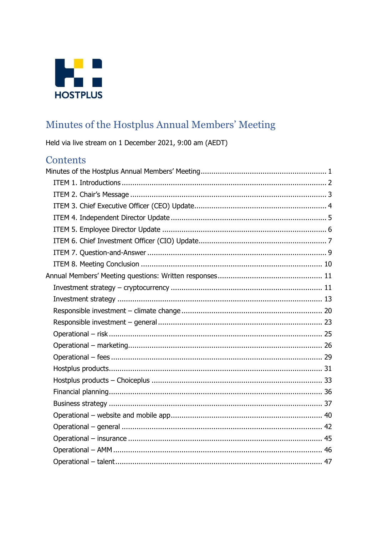

# <span id="page-0-0"></span>Minutes of the Hostplus Annual Members' Meeting

Held via live stream on 1 December 2021, 9:00 am (AEDT)

# Contents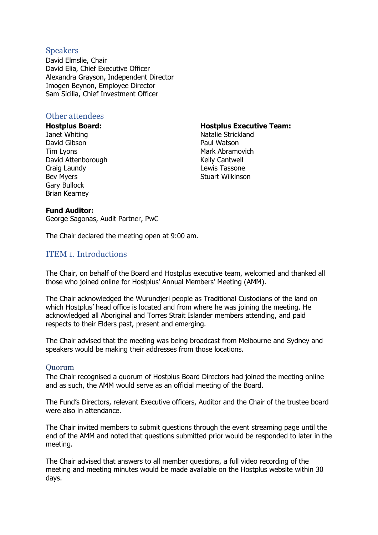#### Speakers

David Elmslie, Chair David Elia, Chief Executive Officer Alexandra Grayson, Independent Director Imogen Beynon, Employee Director Sam Sicilia, Chief Investment Officer

#### Other attendees

**Hostplus Board:** Janet Whiting David Gibson Tim Lyons David Attenborough Craig Laundy Bev Myers Gary Bullock Brian Kearney

**Hostplus Executive Team:**

Natalie Strickland Paul Watson Mark Abramovich Kelly Cantwell Lewis Tassone Stuart Wilkinson

#### **Fund Auditor:**

George Sagonas, Audit Partner, PwC

The Chair declared the meeting open at 9:00 am.

#### <span id="page-1-0"></span>ITEM 1. Introductions

The Chair, on behalf of the Board and Hostplus executive team, welcomed and thanked all those who joined online for Hostplus' Annual Members' Meeting (AMM).

The Chair acknowledged the Wurundjeri people as Traditional Custodians of the land on which Hostplus' head office is located and from where he was joining the meeting. He acknowledged all Aboriginal and Torres Strait Islander members attending, and paid respects to their Elders past, present and emerging.

The Chair advised that the meeting was being broadcast from Melbourne and Sydney and speakers would be making their addresses from those locations.

#### Quorum

The Chair recognised a quorum of Hostplus Board Directors had joined the meeting online and as such, the AMM would serve as an official meeting of the Board.

The Fund's Directors, relevant Executive officers, Auditor and the Chair of the trustee board were also in attendance.

The Chair invited members to submit questions through the event streaming page until the end of the AMM and noted that questions submitted prior would be responded to later in the meeting.

The Chair advised that answers to all member questions, a full video recording of the meeting and meeting minutes would be made available on the Hostplus website within 30 days.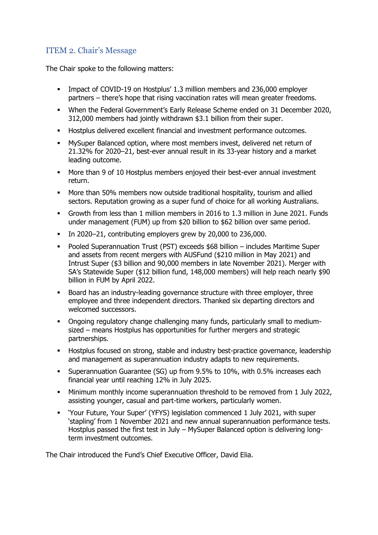# <span id="page-2-0"></span>ITEM 2. Chair's Message

The Chair spoke to the following matters:

- **•** Impact of COVID-19 on Hostplus' 1.3 million members and 236,000 employer partners – there's hope that rising vaccination rates will mean greater freedoms.
- When the Federal Government's Early Release Scheme ended on 31 December 2020, 312,000 members had jointly withdrawn \$3.1 billion from their super.
- Hostplus delivered excellent financial and investment performance outcomes.
- MySuper Balanced option, where most members invest, delivered net return of 21.32% for 2020–21, best-ever annual result in its 33-year history and a market leading outcome.
- More than 9 of 10 Hostplus members enjoyed their best-ever annual investment return.
- More than 50% members now outside traditional hospitality, tourism and allied sectors. Reputation growing as a super fund of choice for all working Australians.
- Growth from less than 1 million members in 2016 to 1.3 million in June 2021. Funds under management (FUM) up from \$20 billion to \$62 billion over same period.
- In 2020–21, contributing employers grew by 20,000 to 236,000.
- Pooled Superannuation Trust (PST) exceeds \$68 billion includes Maritime Super and assets from recent mergers with AUSFund (\$210 million in May 2021) and Intrust Super (\$3 billion and 90,000 members in late November 2021). Merger with SA's Statewide Super (\$12 billion fund, 148,000 members) will help reach nearly \$90 billion in FUM by April 2022.
- Board has an industry-leading governance structure with three employer, three employee and three independent directors. Thanked six departing directors and welcomed successors.
- Ongoing regulatory change challenging many funds, particularly small to mediumsized – means Hostplus has opportunities for further mergers and strategic partnerships.
- **■** Hostplus focused on strong, stable and industry best-practice governance, leadership and management as superannuation industry adapts to new requirements.
- **EXEDEE 10.50 Superannuation Guarantee (SG) up from 9.5% to 10%, with 0.5% increases each** financial year until reaching 12% in July 2025.
- Minimum monthly income superannuation threshold to be removed from 1 July 2022, assisting younger, casual and part-time workers, particularly women.
- 'Your Future, Your Super' (YFYS) legislation commenced 1 July 2021, with super 'stapling' from 1 November 2021 and new annual superannuation performance tests. Hostplus passed the first test in July – MySuper Balanced option is delivering longterm investment outcomes.

The Chair introduced the Fund's Chief Executive Officer, David Elia.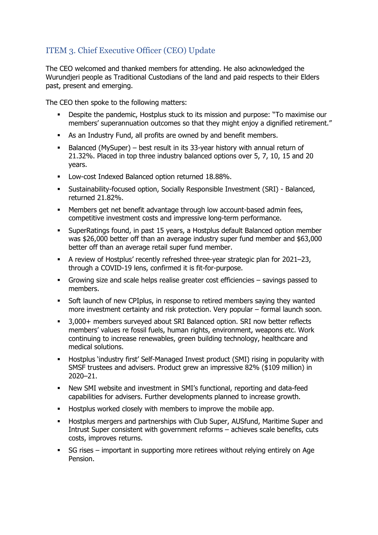# <span id="page-3-0"></span>ITEM 3. Chief Executive Officer (CEO) Update

The CEO welcomed and thanked members for attending. He also acknowledged the Wurundjeri people as Traditional Custodians of the land and paid respects to their Elders past, present and emerging.

The CEO then spoke to the following matters:

- **•** Despite the pandemic, Hostplus stuck to its mission and purpose: "To maximise our members' superannuation outcomes so that they might enjoy a dignified retirement."
- As an Industry Fund, all profits are owned by and benefit members.
- Balanced (MySuper) best result in its 33-year history with annual return of 21.32%. Placed in top three industry balanced options over 5, 7, 10, 15 and 20 years.
- Low-cost Indexed Balanced option returned 18.88%.
- Sustainability-focused option, Socially Responsible Investment (SRI) Balanced, returned 21.82%.
- Members get net benefit advantage through low account-based admin fees, competitive investment costs and impressive long-term performance.
- SuperRatings found, in past 15 years, a Hostplus default Balanced option member was \$26,000 better off than an average industry super fund member and \$63,000 better off than an average retail super fund member.
- A review of Hostplus' recently refreshed three-year strategic plan for 2021–23, through a COVID-19 lens, confirmed it is fit-for-purpose.
- Growing size and scale helps realise greater cost efficiencies savings passed to members.
- Soft launch of new CPIplus, in response to retired members saying they wanted more investment certainty and risk protection. Very popular – formal launch soon.
- 3,000+ members surveyed about SRI Balanced option. SRI now better reflects members' values re fossil fuels, human rights, environment, weapons etc. Work continuing to increase renewables, green building technology, healthcare and medical solutions.
- Hostplus 'industry first' Self-Managed Invest product (SMI) rising in popularity with SMSF trustees and advisers. Product grew an impressive 82% (\$109 million) in 2020–21.
- New SMI website and investment in SMI's functional, reporting and data-feed capabilities for advisers. Further developments planned to increase growth.
- Hostplus worked closely with members to improve the mobile app.
- **■** Hostplus mergers and partnerships with Club Super, AUSfund, Maritime Super and Intrust Super consistent with government reforms – achieves scale benefits, cuts costs, improves returns.
- SG rises important in supporting more retirees without relying entirely on Age Pension.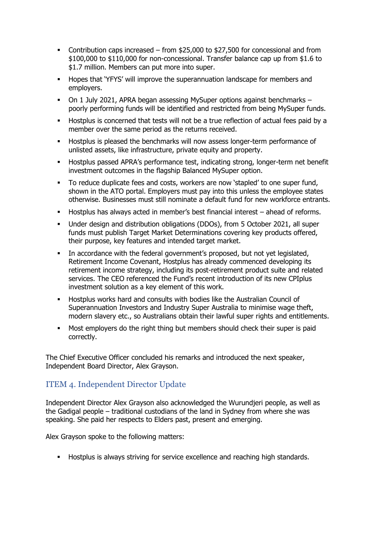- Contribution caps increased from \$25,000 to \$27,500 for concessional and from \$100,000 to \$110,000 for non-concessional. Transfer balance cap up from \$1.6 to \$1.7 million. Members can put more into super.
- Hopes that 'YFYS' will improve the superannuation landscape for members and employers.
- On 1 July 2021, APRA began assessing MySuper options against benchmarks poorly performing funds will be identified and restricted from being MySuper funds.
- Hostplus is concerned that tests will not be a true reflection of actual fees paid by a member over the same period as the returns received.
- Hostplus is pleased the benchmarks will now assess longer-term performance of unlisted assets, like infrastructure, private equity and property.
- Hostplus passed APRA's performance test, indicating strong, longer-term net benefit investment outcomes in the flagship Balanced MySuper option.
- To reduce duplicate fees and costs, workers are now 'stapled' to one super fund, shown in the ATO portal. Employers must pay into this unless the employee states otherwise. Businesses must still nominate a default fund for new workforce entrants.
- Hostplus has always acted in member's best financial interest ahead of reforms.
- Under design and distribution obligations (DDOs), from 5 October 2021, all super funds must publish Target Market Determinations covering key products offered, their purpose, key features and intended target market.
- In accordance with the federal government's proposed, but not yet legislated, Retirement Income Covenant, Hostplus has already commenced developing its retirement income strategy, including its post-retirement product suite and related services. The CEO referenced the Fund's recent introduction of its new CPIplus investment solution as a key element of this work.
- Hostplus works hard and consults with bodies like the Australian Council of Superannuation Investors and Industry Super Australia to minimise wage theft, modern slavery etc., so Australians obtain their lawful super rights and entitlements.
- Most employers do the right thing but members should check their super is paid correctly.

The Chief Executive Officer concluded his remarks and introduced the next speaker, Independent Board Director, Alex Grayson.

# <span id="page-4-0"></span>ITEM 4. Independent Director Update

Independent Director Alex Grayson also acknowledged the Wurundjeri people, as well as the Gadigal people – traditional custodians of the land in Sydney from where she was speaking. She paid her respects to Elders past, present and emerging.

Alex Grayson spoke to the following matters:

▪ Hostplus is always striving for service excellence and reaching high standards.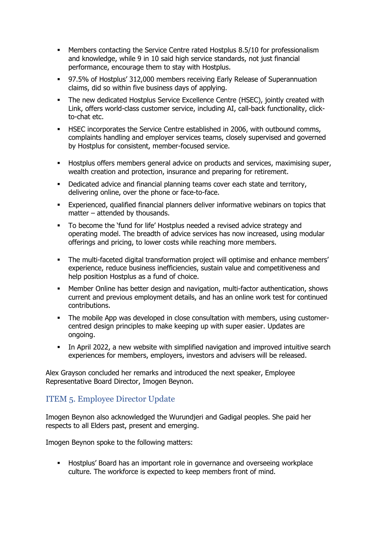- Members contacting the Service Centre rated Hostplus 8.5/10 for professionalism and knowledge, while 9 in 10 said high service standards, not just financial performance, encourage them to stay with Hostplus.
- 97.5% of Hostplus' 312,000 members receiving Early Release of Superannuation claims, did so within five business days of applying.
- The new dedicated Hostplus Service Excellence Centre (HSEC), jointly created with Link, offers world-class customer service, including AI, call-back functionality, clickto-chat etc.
- **HSEC incorporates the Service Centre established in 2006, with outbound comms,** complaints handling and employer services teams, closely supervised and governed by Hostplus for consistent, member-focused service.
- **EXEDENT Hostplus offers members general advice on products and services, maximising super,** wealth creation and protection, insurance and preparing for retirement.
- **•** Dedicated advice and financial planning teams cover each state and territory, delivering online, over the phone or face-to-face.
- **Experienced, qualified financial planners deliver informative webinars on topics that** matter – attended by thousands.
- To become the 'fund for life' Hostplus needed a revised advice strategy and operating model. The breadth of advice services has now increased, using modular offerings and pricing, to lower costs while reaching more members.
- The multi-faceted digital transformation project will optimise and enhance members' experience, reduce business inefficiencies, sustain value and competitiveness and help position Hostplus as a fund of choice.
- Member Online has better design and navigation, multi-factor authentication, shows current and previous employment details, and has an online work test for continued contributions.
- **•** The mobile App was developed in close consultation with members, using customercentred design principles to make keeping up with super easier. Updates are ongoing.
- **•** In April 2022, a new website with simplified navigation and improved intuitive search experiences for members, employers, investors and advisers will be released.

Alex Grayson concluded her remarks and introduced the next speaker, Employee Representative Board Director, Imogen Beynon.

# <span id="page-5-0"></span>ITEM 5. Employee Director Update

Imogen Beynon also acknowledged the Wurundjeri and Gadigal peoples. She paid her respects to all Elders past, present and emerging.

Imogen Beynon spoke to the following matters:

▪ Hostplus' Board has an important role in governance and overseeing workplace culture. The workforce is expected to keep members front of mind.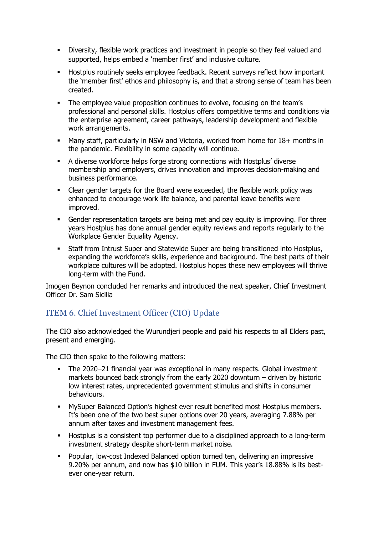- **EXEDENT** Diversity, flexible work practices and investment in people so they feel valued and supported, helps embed a 'member first' and inclusive culture.
- Hostplus routinely seeks employee feedback. Recent surveys reflect how important the 'member first' ethos and philosophy is, and that a strong sense of team has been created.
- The employee value proposition continues to evolve, focusing on the team's professional and personal skills. Hostplus offers competitive terms and conditions via the enterprise agreement, career pathways, leadership development and flexible work arrangements.
- Many staff, particularly in NSW and Victoria, worked from home for 18+ months in the pandemic. Flexibility in some capacity will continue.
- A diverse workforce helps forge strong connections with Hostplus' diverse membership and employers, drives innovation and improves decision-making and business performance.
- Clear gender targets for the Board were exceeded, the flexible work policy was enhanced to encourage work life balance, and parental leave benefits were improved.
- **•** Gender representation targets are being met and pay equity is improving. For three years Hostplus has done annual gender equity reviews and reports regularly to the Workplace Gender Equality Agency.
- **Staff from Intrust Super and Statewide Super are being transitioned into Hostplus,** expanding the workforce's skills, experience and background. The best parts of their workplace cultures will be adopted. Hostplus hopes these new employees will thrive long-term with the Fund.

Imogen Beynon concluded her remarks and introduced the next speaker, Chief Investment Officer Dr. Sam Sicilia

# <span id="page-6-0"></span>ITEM 6. Chief Investment Officer (CIO) Update

The CIO also acknowledged the Wurundjeri people and paid his respects to all Elders past, present and emerging.

The CIO then spoke to the following matters:

- The 2020–21 financial year was exceptional in many respects. Global investment markets bounced back strongly from the early 2020 downturn – driven by historic low interest rates, unprecedented government stimulus and shifts in consumer behaviours.
- MySuper Balanced Option's highest ever result benefited most Hostplus members. It's been one of the two best super options over 20 years, averaging 7.88% per annum after taxes and investment management fees.
- Hostplus is a consistent top performer due to a disciplined approach to a long-term investment strategy despite short-term market noise.
- Popular, low-cost Indexed Balanced option turned ten, delivering an impressive 9.20% per annum, and now has \$10 billion in FUM. This year's 18.88% is its bestever one-year return.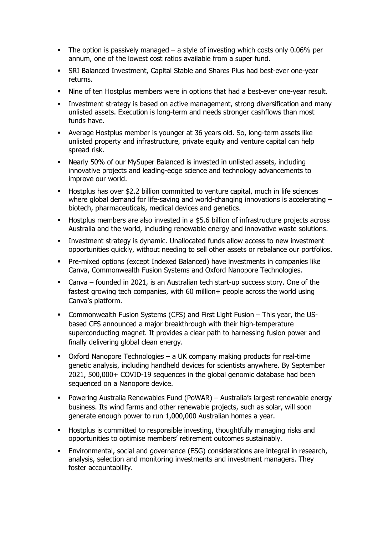- **•** The option is passively managed  $-$  a style of investing which costs only 0.06% per annum, one of the lowest cost ratios available from a super fund.
- **SRI Balanced Investment, Capital Stable and Shares Plus had best-ever one-year** returns.
- Nine of ten Hostplus members were in options that had a best-ever one-year result.
- **EXEDENT Investment strategy is based on active management, strong diversification and many** unlisted assets. Execution is long-term and needs stronger cashflows than most funds have.
- Average Hostplus member is younger at 36 years old. So, long-term assets like unlisted property and infrastructure, private equity and venture capital can help spread risk.
- Nearly 50% of our MySuper Balanced is invested in unlisted assets, including innovative projects and leading-edge science and technology advancements to improve our world.
- Hostplus has over \$2.2 billion committed to venture capital, much in life sciences where global demand for life-saving and world-changing innovations is accelerating – biotech, pharmaceuticals, medical devices and genetics.
- Hostplus members are also invested in a \$5.6 billion of infrastructure projects across Australia and the world, including renewable energy and innovative waste solutions.
- Investment strategy is dynamic. Unallocated funds allow access to new investment opportunities quickly, without needing to sell other assets or rebalance our portfolios.
- Pre-mixed options (except Indexed Balanced) have investments in companies like Canva, Commonwealth Fusion Systems and Oxford Nanopore Technologies.
- Canva founded in 2021, is an Australian tech start-up success story. One of the fastest growing tech companies, with 60 million+ people across the world using Canva's platform.
- Commonwealth Fusion Systems (CFS) and First Light Fusion This year, the USbased CFS announced a major breakthrough with their high-temperature superconducting magnet. It provides a clear path to harnessing fusion power and finally delivering global clean energy.
- Oxford Nanopore Technologies a UK company making products for real-time genetic analysis, including handheld devices for scientists anywhere. By September 2021, 500,000+ COVID-19 sequences in the global genomic database had been sequenced on a Nanopore device.
- Powering Australia Renewables Fund (PoWAR) Australia's largest renewable energy business. Its wind farms and other renewable projects, such as solar, will soon generate enough power to run 1,000,000 Australian homes a year.
- **EXEDUAL EXECT** Hostplus is committed to responsible investing, thoughtfully managing risks and opportunities to optimise members' retirement outcomes sustainably.
- **Environmental, social and governance (ESG) considerations are integral in research,** analysis, selection and monitoring investments and investment managers. They foster accountability.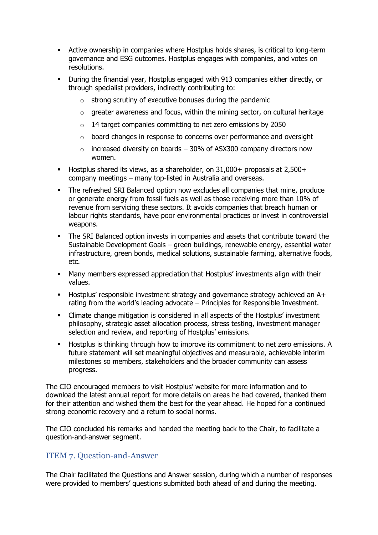- Active ownership in companies where Hostplus holds shares, is critical to long-term governance and ESG outcomes. Hostplus engages with companies, and votes on resolutions.
- During the financial year, Hostplus engaged with 913 companies either directly, or through specialist providers, indirectly contributing to:
	- $\circ$  strong scrutiny of executive bonuses during the pandemic
	- $\circ$  greater awareness and focus, within the mining sector, on cultural heritage
	- o 14 target companies committing to net zero emissions by 2050
	- o board changes in response to concerns over performance and oversight
	- $\circ$  increased diversity on boards 30% of ASX300 company directors now women.
- Hostplus shared its views, as a shareholder, on 31,000+ proposals at 2,500+ company meetings – many top-listed in Australia and overseas.
- **•** The refreshed SRI Balanced option now excludes all companies that mine, produce or generate energy from fossil fuels as well as those receiving more than 10% of revenue from servicing these sectors. It avoids companies that breach human or labour rights standards, have poor environmental practices or invest in controversial weapons.
- **•** The SRI Balanced option invests in companies and assets that contribute toward the Sustainable Development Goals – green buildings, renewable energy, essential water infrastructure, green bonds, medical solutions, sustainable farming, alternative foods, etc.
- **■** Many members expressed appreciation that Hostplus' investments align with their values.
- Hostplus' responsible investment strategy and governance strategy achieved an A+ rating from the world's leading advocate – Principles for Responsible Investment.
- Climate change mitigation is considered in all aspects of the Hostplus' investment philosophy, strategic asset allocation process, stress testing, investment manager selection and review, and reporting of Hostplus' emissions.
- Hostplus is thinking through how to improve its commitment to net zero emissions. A future statement will set meaningful objectives and measurable, achievable interim milestones so members, stakeholders and the broader community can assess progress.

The CIO encouraged members to visit Hostplus' website for more information and to download the latest annual report for more details on areas he had covered, thanked them for their attention and wished them the best for the year ahead. He hoped for a continued strong economic recovery and a return to social norms.

The CIO concluded his remarks and handed the meeting back to the Chair, to facilitate a question-and-answer segment.

### <span id="page-8-0"></span>ITEM 7. Question-and-Answer

The Chair facilitated the Questions and Answer session, during which a number of responses were provided to members' questions submitted both ahead of and during the meeting.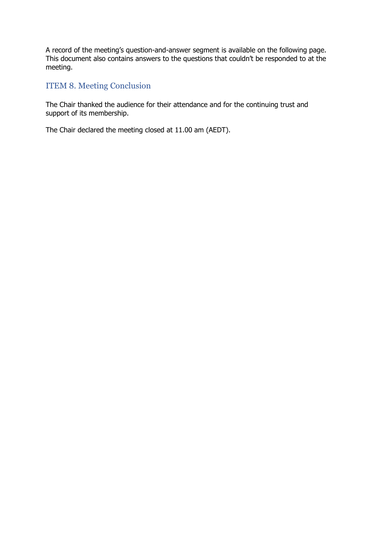A record of the meeting's question-and-answer segment is available on the following page. This document also contains answers to the questions that couldn't be responded to at the meeting.

# <span id="page-9-0"></span>ITEM 8. Meeting Conclusion

The Chair thanked the audience for their attendance and for the continuing trust and support of its membership.

The Chair declared the meeting closed at 11.00 am (AEDT).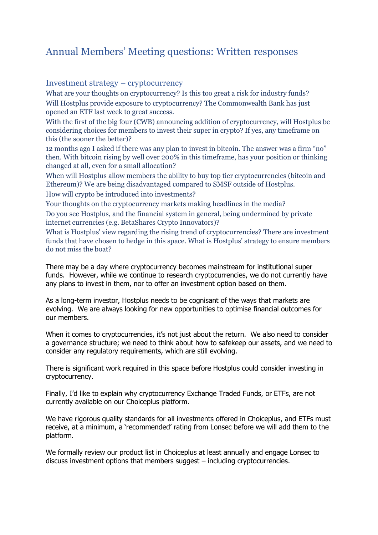# <span id="page-10-0"></span>Annual Members' Meeting questions: Written responses

#### <span id="page-10-1"></span>Investment strategy – cryptocurrency

What are your thoughts on cryptocurrency? Is this too great a risk for industry funds? Will Hostplus provide exposure to cryptocurrency? The Commonwealth Bank has just opened an ETF last week to great success.

With the first of the big four (CWB) announcing addition of cryptocurrency, will Hostplus be considering choices for members to invest their super in crypto? If yes, any timeframe on this (the sooner the better)?

12 months ago I asked if there was any plan to invest in bitcoin. The answer was a firm "no" then. With bitcoin rising by well over 200% in this timeframe, has your position or thinking changed at all, even for a small allocation?

When will Hostplus allow members the ability to buy top tier cryptocurrencies (bitcoin and Ethereum)? We are being disadvantaged compared to SMSF outside of Hostplus.

How will crypto be introduced into investments?

Your thoughts on the cryptocurrency markets making headlines in the media?

Do you see Hostplus, and the financial system in general, being undermined by private internet currencies (e.g. BetaShares Crypto Innovators)?

What is Hostplus' view regarding the rising trend of cryptocurrencies? There are investment funds that have chosen to hedge in this space. What is Hostplus' strategy to ensure members do not miss the boat?

There may be a day where cryptocurrency becomes mainstream for institutional super funds. However, while we continue to research cryptocurrencies, we do not currently have any plans to invest in them, nor to offer an investment option based on them.

As a long-term investor, Hostplus needs to be cognisant of the ways that markets are evolving. We are always looking for new opportunities to optimise financial outcomes for our members.

When it comes to cryptocurrencies, it's not just about the return. We also need to consider a governance structure; we need to think about how to safekeep our assets, and we need to consider any regulatory requirements, which are still evolving.

There is significant work required in this space before Hostplus could consider investing in cryptocurrency.

Finally, I'd like to explain why cryptocurrency Exchange Traded Funds, or ETFs, are not currently available on our Choiceplus platform.

We have rigorous quality standards for all investments offered in Choiceplus, and ETFs must receive, at a minimum, a 'recommended' rating from Lonsec before we will add them to the platform.

We formally review our product list in Choiceplus at least annually and engage Lonsec to discuss investment options that members suggest – including cryptocurrencies.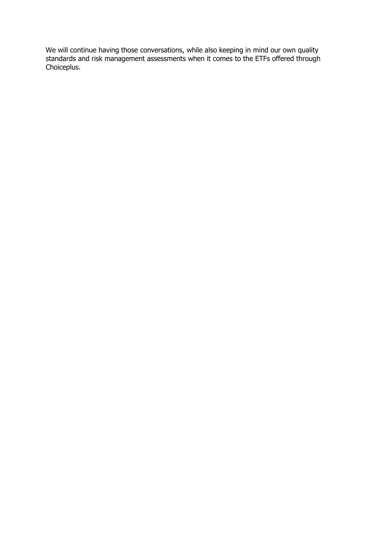We will continue having those conversations, while also keeping in mind our own quality standards and risk management assessments when it comes to the ETFs offered through Choiceplus.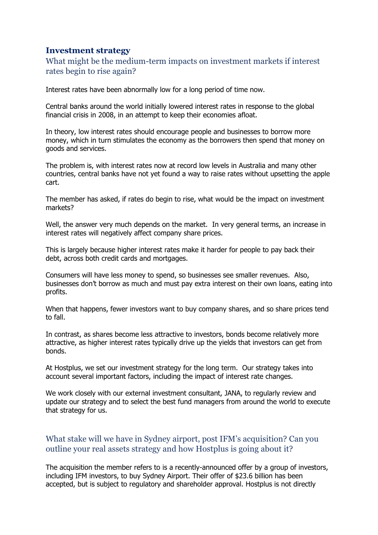## <span id="page-12-0"></span>**Investment strategy**

## What might be the medium-term impacts on investment markets if interest rates begin to rise again?

Interest rates have been abnormally low for a long period of time now.

Central banks around the world initially lowered interest rates in response to the global financial crisis in 2008, in an attempt to keep their economies afloat.

In theory, low interest rates should encourage people and businesses to borrow more money, which in turn stimulates the economy as the borrowers then spend that money on goods and services.

The problem is, with interest rates now at record low levels in Australia and many other countries, central banks have not yet found a way to raise rates without upsetting the apple cart.

The member has asked, if rates do begin to rise, what would be the impact on investment markets?

Well, the answer very much depends on the market. In very general terms, an increase in interest rates will negatively affect company share prices.

This is largely because higher interest rates make it harder for people to pay back their debt, across both credit cards and mortgages.

Consumers will have less money to spend, so businesses see smaller revenues. Also, businesses don't borrow as much and must pay extra interest on their own loans, eating into profits.

When that happens, fewer investors want to buy company shares, and so share prices tend to fall.

In contrast, as shares become less attractive to investors, bonds become relatively more attractive, as higher interest rates typically drive up the yields that investors can get from bonds.

At Hostplus, we set our investment strategy for the long term. Our strategy takes into account several important factors, including the impact of interest rate changes.

We work closely with our external investment consultant, JANA, to regularly review and update our strategy and to select the best fund managers from around the world to execute that strategy for us.

## What stake will we have in Sydney airport, post IFM's acquisition? Can you outline your real assets strategy and how Hostplus is going about it?

The acquisition the member refers to is a recently-announced offer by a group of investors, including IFM investors, to buy Sydney Airport. Their offer of \$23.6 billion has been accepted, but is subject to regulatory and shareholder approval. Hostplus is not directly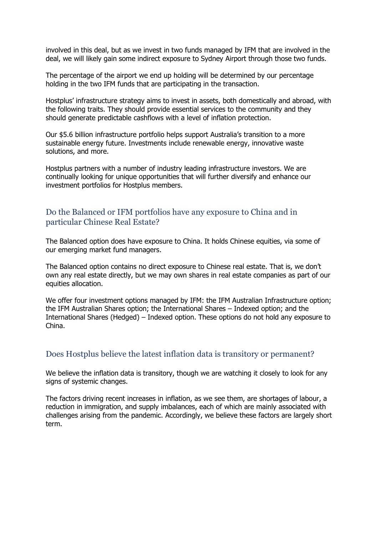involved in this deal, but as we invest in two funds managed by IFM that are involved in the deal, we will likely gain some indirect exposure to Sydney Airport through those two funds.

The percentage of the airport we end up holding will be determined by our percentage holding in the two IFM funds that are participating in the transaction.

Hostplus' infrastructure strategy aims to invest in assets, both domestically and abroad, with the following traits. They should provide essential services to the community and they should generate predictable cashflows with a level of inflation protection.

Our \$5.6 billion infrastructure portfolio helps support Australia's transition to a more sustainable energy future. Investments include renewable energy, innovative waste solutions, and more.

Hostplus partners with a number of industry leading infrastructure investors. We are continually looking for unique opportunities that will further diversify and enhance our investment portfolios for Hostplus members.

#### Do the Balanced or IFM portfolios have any exposure to China and in particular Chinese Real Estate?

The Balanced option does have exposure to China. It holds Chinese equities, via some of our emerging market fund managers.

The Balanced option contains no direct exposure to Chinese real estate. That is, we don't own any real estate directly, but we may own shares in real estate companies as part of our equities allocation.

We offer four investment options managed by IFM: the IFM Australian Infrastructure option; the IFM Australian Shares option; the International Shares – Indexed option; and the International Shares (Hedged) – Indexed option. These options do not hold any exposure to China.

#### Does Hostplus believe the latest inflation data is transitory or permanent?

We believe the inflation data is transitory, though we are watching it closely to look for any signs of systemic changes.

The factors driving recent increases in inflation, as we see them, are shortages of labour, a reduction in immigration, and supply imbalances, each of which are mainly associated with challenges arising from the pandemic. Accordingly, we believe these factors are largely short term.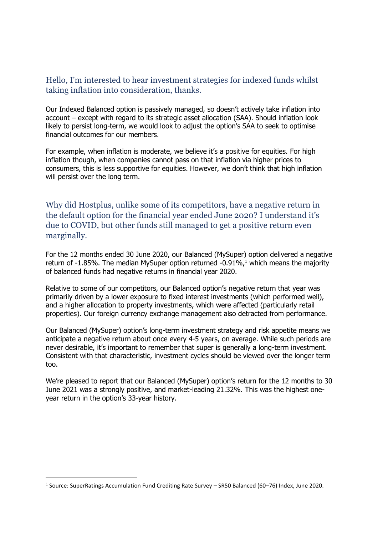### Hello, I'm interested to hear investment strategies for indexed funds whilst taking inflation into consideration, thanks.

Our Indexed Balanced option is passively managed, so doesn't actively take inflation into account – except with regard to its strategic asset allocation (SAA). Should inflation look likely to persist long-term, we would look to adjust the option's SAA to seek to optimise financial outcomes for our members.

For example, when inflation is moderate, we believe it's a positive for equities. For high inflation though, when companies cannot pass on that inflation via higher prices to consumers, this is less supportive for equities. However, we don't think that high inflation will persist over the long term.

Why did Hostplus, unlike some of its competitors, have a negative return in the default option for the financial year ended June 2020? I understand it's due to COVID, but other funds still managed to get a positive return even marginally.

For the 12 months ended 30 June 2020, our Balanced (MySuper) option delivered a negative return of  $-1.85\%$ . The median MySuper option returned  $-0.91\%$ ,<sup>1</sup> which means the majority of balanced funds had negative returns in financial year 2020.

Relative to some of our competitors, our Balanced option's negative return that year was primarily driven by a lower exposure to fixed interest investments (which performed well), and a higher allocation to property investments, which were affected (particularly retail properties). Our foreign currency exchange management also detracted from performance.

Our Balanced (MySuper) option's long-term investment strategy and risk appetite means we anticipate a negative return about once every 4-5 years, on average. While such periods are never desirable, it's important to remember that super is generally a long-term investment. Consistent with that characteristic, investment cycles should be viewed over the longer term too.

We're pleased to report that our Balanced (MySuper) option's return for the 12 months to 30 June 2021 was a strongly positive, and market-leading 21.32%. This was the highest oneyear return in the option's 33-year history.

<sup>&</sup>lt;sup>1</sup> Source: SuperRatings Accumulation Fund Crediting Rate Survey – SR50 Balanced (60–76) Index, June 2020.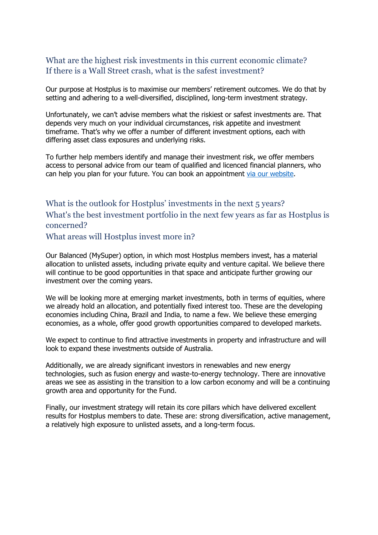## What are the highest risk investments in this current economic climate? If there is a Wall Street crash, what is the safest investment?

Our purpose at Hostplus is to maximise our members' retirement outcomes. We do that by setting and adhering to a well-diversified, disciplined, long-term investment strategy.

Unfortunately, we can't advise members what the riskiest or safest investments are. That depends very much on your individual circumstances, risk appetite and investment timeframe. That's why we offer a number of different investment options, each with differing asset class exposures and underlying risks.

To further help members identify and manage their investment risk, we offer members access to personal advice from our team of qualified and licenced financial planners, who can help you plan for your future. You can book an appointment [via our website.](https://hostplus.com.au/financial-planning/your-advice)

# What is the outlook for Hostplus' investments in the next 5 years? What's the best investment portfolio in the next few years as far as Hostplus is concerned?

What areas will Hostplus invest more in?

Our Balanced (MySuper) option, in which most Hostplus members invest, has a material allocation to unlisted assets, including private equity and venture capital. We believe there will continue to be good opportunities in that space and anticipate further growing our investment over the coming years.

We will be looking more at emerging market investments, both in terms of equities, where we already hold an allocation, and potentially fixed interest too. These are the developing economies including China, Brazil and India, to name a few. We believe these emerging economies, as a whole, offer good growth opportunities compared to developed markets.

We expect to continue to find attractive investments in property and infrastructure and will look to expand these investments outside of Australia.

Additionally, we are already significant investors in renewables and new energy technologies, such as fusion energy and waste-to-energy technology. There are innovative areas we see as assisting in the transition to a low carbon economy and will be a continuing growth area and opportunity for the Fund.

Finally, our investment strategy will retain its core pillars which have delivered excellent results for Hostplus members to date. These are: strong diversification, active management, a relatively high exposure to unlisted assets, and a long-term focus.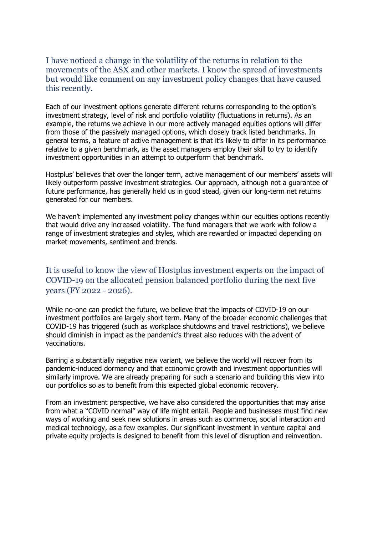I have noticed a change in the volatility of the returns in relation to the movements of the ASX and other markets. I know the spread of investments but would like comment on any investment policy changes that have caused this recently.

Each of our investment options generate different returns corresponding to the option's investment strategy, level of risk and portfolio volatility (fluctuations in returns). As an example, the returns we achieve in our more actively managed equities options will differ from those of the passively managed options, which closely track listed benchmarks. In general terms, a feature of active management is that it's likely to differ in its performance relative to a given benchmark, as the asset managers employ their skill to try to identify investment opportunities in an attempt to outperform that benchmark.

Hostplus' believes that over the longer term, active management of our members' assets will likely outperform passive investment strategies. Our approach, although not a guarantee of future performance, has generally held us in good stead, given our long-term net returns generated for our members.

We haven't implemented any investment policy changes within our equities options recently that would drive any increased volatility. The fund managers that we work with follow a range of investment strategies and styles, which are rewarded or impacted depending on market movements, sentiment and trends.

It is useful to know the view of Hostplus investment experts on the impact of COVID-19 on the allocated pension balanced portfolio during the next five years (FY 2022 - 2026).

While no-one can predict the future, we believe that the impacts of COVID-19 on our investment portfolios are largely short term. Many of the broader economic challenges that COVID-19 has triggered (such as workplace shutdowns and travel restrictions), we believe should diminish in impact as the pandemic's threat also reduces with the advent of vaccinations.

Barring a substantially negative new variant, we believe the world will recover from its pandemic-induced dormancy and that economic growth and investment opportunities will similarly improve. We are already preparing for such a scenario and building this view into our portfolios so as to benefit from this expected global economic recovery.

From an investment perspective, we have also considered the opportunities that may arise from what a "COVID normal" way of life might entail. People and businesses must find new ways of working and seek new solutions in areas such as commerce, social interaction and medical technology, as a few examples. Our significant investment in venture capital and private equity projects is designed to benefit from this level of disruption and reinvention.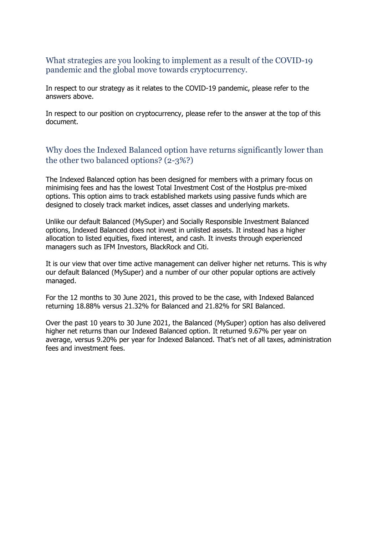#### What strategies are you looking to implement as a result of the COVID-19 pandemic and the global move towards cryptocurrency.

In respect to our strategy as it relates to the COVID-19 pandemic, please refer to the answers above.

In respect to our position on cryptocurrency, please refer to the answer at the top of this document.

# Why does the Indexed Balanced option have returns significantly lower than the other two balanced options? (2-3%?)

The Indexed Balanced option has been designed for members with a primary focus on minimising fees and has the lowest Total Investment Cost of the Hostplus pre-mixed options. This option aims to track established markets using passive funds which are designed to closely track market indices, asset classes and underlying markets.

Unlike our default Balanced (MySuper) and Socially Responsible Investment Balanced options, Indexed Balanced does not invest in unlisted assets. It instead has a higher allocation to listed equities, fixed interest, and cash. It invests through experienced managers such as IFM Investors, BlackRock and Citi.

It is our view that over time active management can deliver higher net returns. This is why our default Balanced (MySuper) and a number of our other popular options are actively managed.

For the 12 months to 30 June 2021, this proved to be the case, with Indexed Balanced returning 18.88% versus 21.32% for Balanced and 21.82% for SRI Balanced.

Over the past 10 years to 30 June 2021, the Balanced (MySuper) option has also delivered higher net returns than our Indexed Balanced option. It returned 9.67% per year on average, versus 9.20% per year for Indexed Balanced. That's net of all taxes, administration fees and investment fees.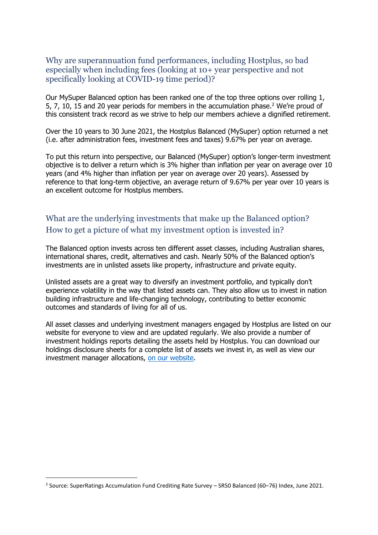Why are superannuation fund performances, including Hostplus, so bad especially when including fees (looking at 10+ year perspective and not specifically looking at COVID-19 time period)?

Our MySuper Balanced option has been ranked one of the top three options over rolling 1, 5, 7, 10, 15 and 20 year periods for members in the accumulation phase.<sup>2</sup> We're proud of this consistent track record as we strive to help our members achieve a dignified retirement.

Over the 10 years to 30 June 2021, the Hostplus Balanced (MySuper) option returned a net (i.e. after administration fees, investment fees and taxes) 9.67% per year on average.

To put this return into perspective, our Balanced (MySuper) option's longer-term investment objective is to deliver a return which is 3% higher than inflation per year on average over 10 years (and 4% higher than inflation per year on average over 20 years). Assessed by reference to that long-term objective, an average return of 9.67% per year over 10 years is an excellent outcome for Hostplus members.

# What are the underlying investments that make up the Balanced option? How to get a picture of what my investment option is invested in?

The Balanced option invests across ten different asset classes, including Australian shares, international shares, credit, alternatives and cash. Nearly 50% of the Balanced option's investments are in unlisted assets like property, infrastructure and private equity.

Unlisted assets are a great way to diversify an investment portfolio, and typically don't experience volatility in the way that listed assets can. They also allow us to invest in nation building infrastructure and life-changing technology, contributing to better economic outcomes and standards of living for all of us.

All asset classes and underlying investment managers engaged by Hostplus are listed on our website for everyone to view and are updated regularly. We also provide a number of investment holdings reports detailing the assets held by Hostplus. You can download our holdings disclosure sheets for a complete list of assets we invest in, as well as view our investment manager allocations, [on our website.](https://hostplus.com.au/investment/investment-governance)

<sup>&</sup>lt;sup>2</sup> Source: SuperRatings Accumulation Fund Crediting Rate Survey – SR50 Balanced (60–76) Index, June 2021.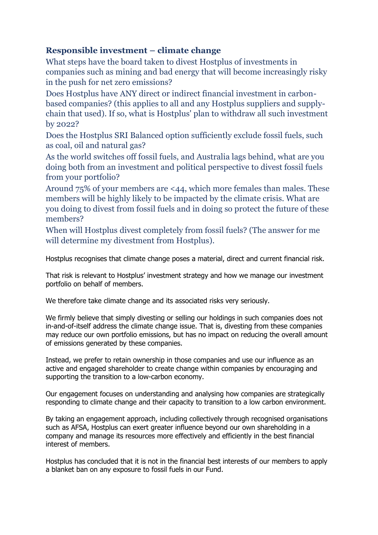# <span id="page-19-0"></span>**Responsible investment – climate change**

What steps have the board taken to divest Hostplus of investments in companies such as mining and bad energy that will become increasingly risky in the push for net zero emissions?

Does Hostplus have ANY direct or indirect financial investment in carbonbased companies? (this applies to all and any Hostplus suppliers and supplychain that used). If so, what is Hostplus' plan to withdraw all such investment by 2022?

Does the Hostplus SRI Balanced option sufficiently exclude fossil fuels, such as coal, oil and natural gas?

As the world switches off fossil fuels, and Australia lags behind, what are you doing both from an investment and political perspective to divest fossil fuels from your portfolio?

Around 75% of your members are <44, which more females than males. These members will be highly likely to be impacted by the climate crisis. What are you doing to divest from fossil fuels and in doing so protect the future of these members?

When will Hostplus divest completely from fossil fuels? (The answer for me will determine my divestment from Hostplus).

Hostplus recognises that climate change poses a material, direct and current financial risk.

That risk is relevant to Hostplus' investment strategy and how we manage our investment portfolio on behalf of members.

We therefore take climate change and its associated risks very seriously.

We firmly believe that simply divesting or selling our holdings in such companies does not in-and-of-itself address the climate change issue. That is, divesting from these companies may reduce our own portfolio emissions, but has no impact on reducing the overall amount of emissions generated by these companies.

Instead, we prefer to retain ownership in those companies and use our influence as an active and engaged shareholder to create change within companies by encouraging and supporting the transition to a low-carbon economy.

Our engagement focuses on understanding and analysing how companies are strategically responding to climate change and their capacity to transition to a low carbon environment.

By taking an engagement approach, including collectively through recognised organisations such as AFSA, Hostplus can exert greater influence beyond our own shareholding in a company and manage its resources more effectively and efficiently in the best financial interest of members.

Hostplus has concluded that it is not in the financial best interests of our members to apply a blanket ban on any exposure to fossil fuels in our Fund.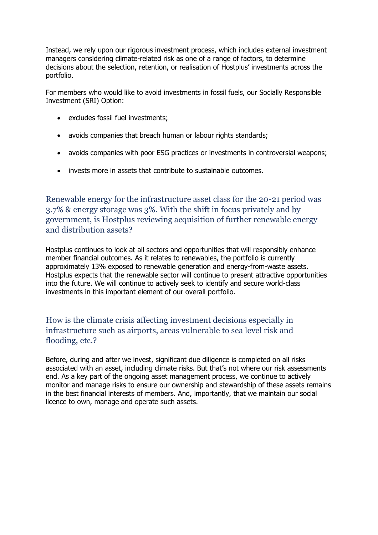Instead, we rely upon our rigorous investment process, which includes external investment managers considering climate-related risk as one of a range of factors, to determine decisions about the selection, retention, or realisation of Hostplus' investments across the portfolio.

For members who would like to avoid investments in fossil fuels, our Socially Responsible Investment (SRI) Option:

- excludes fossil fuel investments;
- avoids companies that breach human or labour rights standards;
- avoids companies with poor ESG practices or investments in controversial weapons;
- invests more in assets that contribute to sustainable outcomes.

Renewable energy for the infrastructure asset class for the 20-21 period was 3.7% & energy storage was 3%. With the shift in focus privately and by government, is Hostplus reviewing acquisition of further renewable energy and distribution assets?

Hostplus continues to look at all sectors and opportunities that will responsibly enhance member financial outcomes. As it relates to renewables, the portfolio is currently approximately 13% exposed to renewable generation and energy-from-waste assets. Hostplus expects that the renewable sector will continue to present attractive opportunities into the future. We will continue to actively seek to identify and secure world-class investments in this important element of our overall portfolio.

## How is the climate crisis affecting investment decisions especially in infrastructure such as airports, areas vulnerable to sea level risk and flooding, etc.?

Before, during and after we invest, significant due diligence is completed on all risks associated with an asset, including climate risks. But that's not where our risk assessments end. As a key part of the ongoing asset management process, we continue to actively monitor and manage risks to ensure our ownership and stewardship of these assets remains in the best financial interests of members. And, importantly, that we maintain our social licence to own, manage and operate such assets.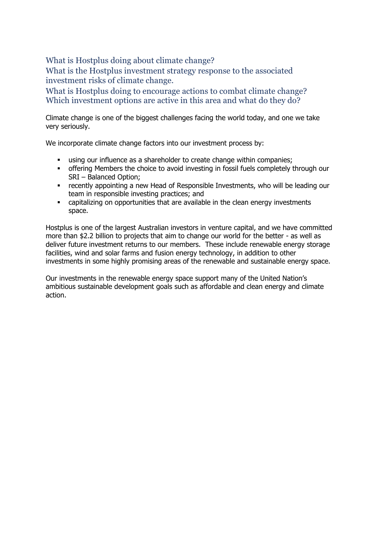What is Hostplus doing about climate change?

What is the Hostplus investment strategy response to the associated investment risks of climate change.

What is Hostplus doing to encourage actions to combat climate change? Which investment options are active in this area and what do they do?

Climate change is one of the biggest challenges facing the world today, and one we take very seriously.

We incorporate climate change factors into our investment process by:

- **E** using our influence as a shareholder to create change within companies;
- **•** offering Members the choice to avoid investing in fossil fuels completely through our SRI – Balanced Option;
- **•** recently appointing a new Head of Responsible Investments, who will be leading our team in responsible investing practices; and
- capitalizing on opportunities that are available in the clean energy investments space.

Hostplus is one of the largest Australian investors in venture capital, and we have committed more than \$2.2 billion to projects that aim to change our world for the better - as well as deliver future investment returns to our members. These include renewable energy storage facilities, wind and solar farms and fusion energy technology, in addition to other investments in some highly promising areas of the renewable and sustainable energy space.

<span id="page-21-0"></span>Our investments in the renewable energy space support many of the United Nation's ambitious sustainable development goals such as affordable and clean energy and climate action.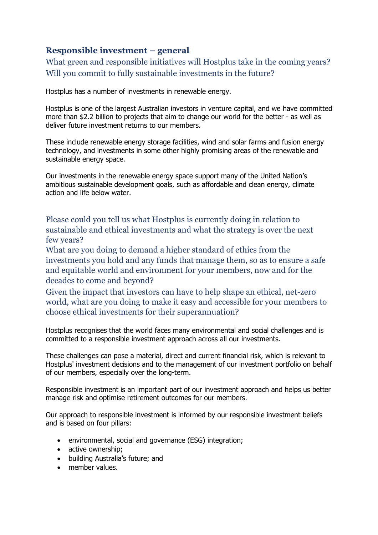# **Responsible investment – general**

What green and responsible initiatives will Hostplus take in the coming years? Will you commit to fully sustainable investments in the future?

Hostplus has a number of investments in renewable energy.

Hostplus is one of the largest Australian investors in venture capital, and we have committed more than \$2.2 billion to projects that aim to change our world for the better - as well as deliver future investment returns to our members.

These include renewable energy storage facilities, wind and solar farms and fusion energy technology, and investments in some other highly promising areas of the renewable and sustainable energy space.

Our investments in the renewable energy space support many of the United Nation's ambitious sustainable development goals, such as affordable and clean energy, climate action and life below water.

Please could you tell us what Hostplus is currently doing in relation to sustainable and ethical investments and what the strategy is over the next few years?

What are you doing to demand a higher standard of ethics from the investments you hold and any funds that manage them, so as to ensure a safe and equitable world and environment for your members, now and for the decades to come and beyond?

Given the impact that investors can have to help shape an ethical, net-zero world, what are you doing to make it easy and accessible for your members to choose ethical investments for their superannuation?

Hostplus recognises that the world faces many environmental and social challenges and is committed to a responsible investment approach across all our investments.

These challenges can pose a material, direct and current financial risk, which is relevant to Hostplus' investment decisions and to the management of our investment portfolio on behalf of our members, especially over the long-term.

Responsible investment is an important part of our investment approach and helps us better manage risk and optimise retirement outcomes for our members.

Our approach to responsible investment is informed by our responsible investment beliefs and is based on four pillars:

- environmental, social and governance (ESG) integration;
- active ownership;
- building Australia's future; and
- member values.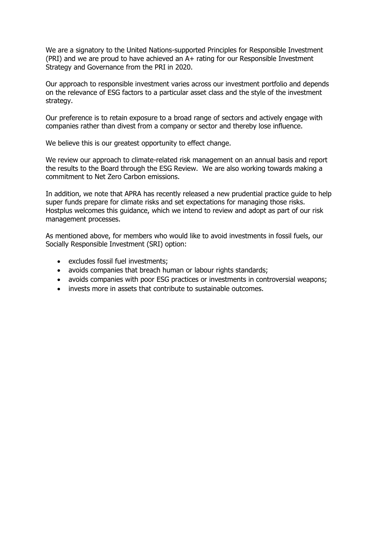We are a signatory to the United Nations-supported Principles for Responsible Investment (PRI) and we are proud to have achieved an A+ rating for our Responsible Investment Strategy and Governance from the PRI in 2020.

Our approach to responsible investment varies across our investment portfolio and depends on the relevance of ESG factors to a particular asset class and the style of the investment strategy.

Our preference is to retain exposure to a broad range of sectors and actively engage with companies rather than divest from a company or sector and thereby lose influence.

We believe this is our greatest opportunity to effect change.

We review our approach to climate-related risk management on an annual basis and report the results to the Board through the ESG Review. We are also working towards making a commitment to Net Zero Carbon emissions.

In addition, we note that APRA has recently released a new prudential practice guide to help super funds prepare for climate risks and set expectations for managing those risks. Hostplus welcomes this guidance, which we intend to review and adopt as part of our risk management processes.

As mentioned above, for members who would like to avoid investments in fossil fuels, our Socially Responsible Investment (SRI) option:

- excludes fossil fuel investments;
- avoids companies that breach human or labour rights standards;
- avoids companies with poor ESG practices or investments in controversial weapons;
- invests more in assets that contribute to sustainable outcomes.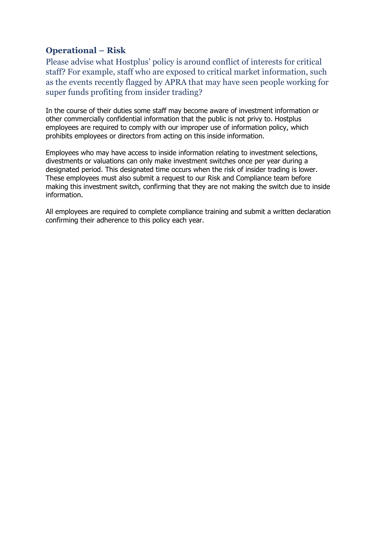# <span id="page-24-0"></span>**Operational – Risk**

Please advise what Hostplus' policy is around conflict of interests for critical staff? For example, staff who are exposed to critical market information, such as the events recently flagged by APRA that may have seen people working for super funds profiting from insider trading?

In the course of their duties some staff may become aware of investment information or other commercially confidential information that the public is not privy to. Hostplus employees are required to comply with our improper use of information policy, which prohibits employees or directors from acting on this inside information.

Employees who may have access to inside information relating to investment selections, divestments or valuations can only make investment switches once per year during a designated period. This designated time occurs when the risk of insider trading is lower. These employees must also submit a request to our Risk and Compliance team before making this investment switch, confirming that they are not making the switch due to inside information.

<span id="page-24-1"></span>All employees are required to complete compliance training and submit a written declaration confirming their adherence to this policy each year.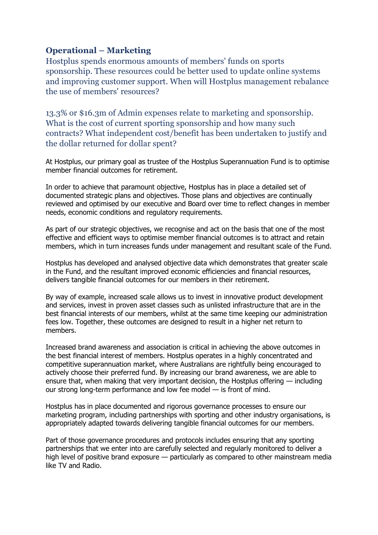# **Operational – Marketing**

Hostplus spends enormous amounts of members' funds on sports sponsorship. These resources could be better used to update online systems and improving customer support. When will Hostplus management rebalance the use of members' resources?

13.3% or \$16.3m of Admin expenses relate to marketing and sponsorship. What is the cost of current sporting sponsorship and how many such contracts? What independent cost/benefit has been undertaken to justify and the dollar returned for dollar spent?

At Hostplus, our primary goal as trustee of the Hostplus Superannuation Fund is to optimise member financial outcomes for retirement.

In order to achieve that paramount objective, Hostplus has in place a detailed set of documented strategic plans and objectives. Those plans and objectives are continually reviewed and optimised by our executive and Board over time to reflect changes in member needs, economic conditions and regulatory requirements.

As part of our strategic objectives, we recognise and act on the basis that one of the most effective and efficient ways to optimise member financial outcomes is to attract and retain members, which in turn increases funds under management and resultant scale of the Fund.

Hostplus has developed and analysed objective data which demonstrates that greater scale in the Fund, and the resultant improved economic efficiencies and financial resources, delivers tangible financial outcomes for our members in their retirement.

By way of example, increased scale allows us to invest in innovative product development and services, invest in proven asset classes such as unlisted infrastructure that are in the best financial interests of our members, whilst at the same time keeping our administration fees low. Together, these outcomes are designed to result in a higher net return to members.

Increased brand awareness and association is critical in achieving the above outcomes in the best financial interest of members. Hostplus operates in a highly concentrated and competitive superannuation market, where Australians are rightfully being encouraged to actively choose their preferred fund. By increasing our brand awareness, we are able to ensure that, when making that very important decision, the Hostplus offering — including our strong long-term performance and low fee model — is front of mind.

Hostplus has in place documented and rigorous governance processes to ensure our marketing program, including partnerships with sporting and other industry organisations, is appropriately adapted towards delivering tangible financial outcomes for our members.

Part of those governance procedures and protocols includes ensuring that any sporting partnerships that we enter into are carefully selected and regularly monitored to deliver a high level of positive brand exposure — particularly as compared to other mainstream media like TV and Radio.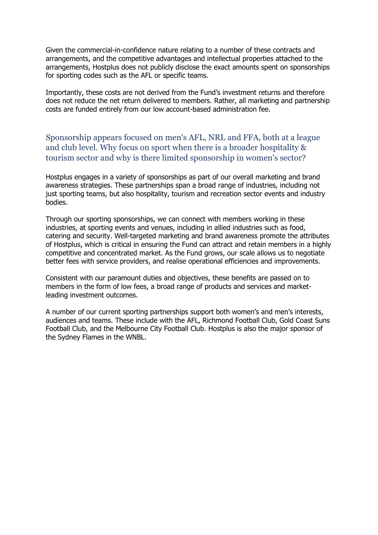Given the commercial-in-confidence nature relating to a number of these contracts and arrangements, and the competitive advantages and intellectual properties attached to the arrangements, Hostplus does not publicly disclose the exact amounts spent on sponsorships for sporting codes such as the AFL or specific teams.

Importantly, these costs are not derived from the Fund's investment returns and therefore does not reduce the net return delivered to members. Rather, all marketing and partnership costs are funded entirely from our low account-based administration fee.

Sponsorship appears focused on men's AFL, NRL and FFA, both at a league and club level. Why focus on sport when there is a broader hospitality & tourism sector and why is there limited sponsorship in women's sector?

Hostplus engages in a variety of sponsorships as part of our overall marketing and brand awareness strategies. These partnerships span a broad range of industries, including not just sporting teams, but also hospitality, tourism and recreation sector events and industry bodies.

Through our sporting sponsorships, we can connect with members working in these industries, at sporting events and venues, including in allied industries such as food, catering and security. Well-targeted marketing and brand awareness promote the attributes of Hostplus, which is critical in ensuring the Fund can attract and retain members in a highly competitive and concentrated market. As the Fund grows, our scale allows us to negotiate better fees with service providers, and realise operational efficiencies and improvements.

Consistent with our paramount duties and objectives, these benefits are passed on to members in the form of low fees, a broad range of products and services and marketleading investment outcomes.

A number of our current sporting partnerships support both women's and men's interests, audiences and teams. These include with the AFL, Richmond Football Club, Gold Coast Suns Football Club, and the Melbourne City Football Club. Hostplus is also the major sponsor of the Sydney Flames in the WNBL.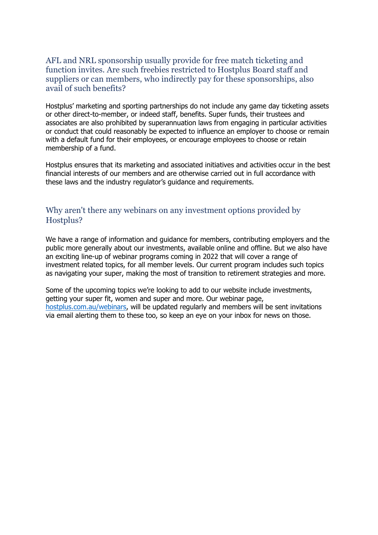#### AFL and NRL sponsorship usually provide for free match ticketing and function invites. Are such freebies restricted to Hostplus Board staff and suppliers or can members, who indirectly pay for these sponsorships, also avail of such benefits?

Hostplus' marketing and sporting partnerships do not include any game day ticketing assets or other direct-to-member, or indeed staff, benefits. Super funds, their trustees and associates are also prohibited by superannuation laws from engaging in particular activities or conduct that could reasonably be expected to influence an employer to choose or remain with a default fund for their employees, or encourage employees to choose or retain membership of a fund.

Hostplus ensures that its marketing and associated initiatives and activities occur in the best financial interests of our members and are otherwise carried out in full accordance with these laws and the industry regulator's guidance and requirements.

## Why aren't there any webinars on any investment options provided by Hostplus?

We have a range of information and guidance for members, contributing employers and the public more generally about our investments, available online and offline. But we also have an exciting line-up of webinar programs coming in 2022 that will cover a range of investment related topics, for all member levels. Our current program includes such topics as navigating your super, making the most of transition to retirement strategies and more.

Some of the upcoming topics we're looking to add to our website include investments, getting your super fit, women and super and more. Our webinar page, [hostplus.com.au/webinars,](https://hostplus.com.au/webinars) will be updated regularly and members will be sent invitations via email alerting them to these too, so keep an eye on your inbox for news on those.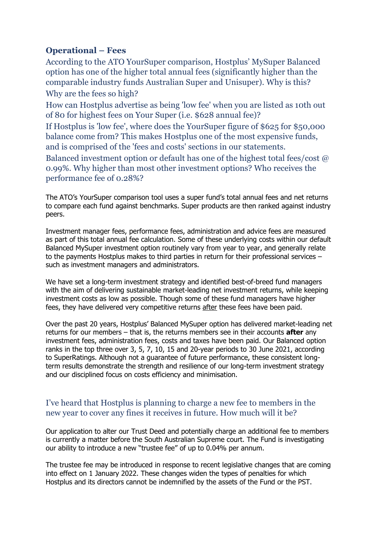# <span id="page-28-0"></span>**Operational – Fees**

According to the ATO YourSuper comparison, Hostplus' MySuper Balanced option has one of the higher total annual fees (significantly higher than the comparable industry funds Australian Super and Unisuper). Why is this? Why are the fees so high?

How can Hostplus advertise as being 'low fee' when you are listed as 10th out of 80 for highest fees on Your Super (i.e. \$628 annual fee)?

If Hostplus is 'low fee', where does the YourSuper figure of \$625 for \$50,000 balance come from? This makes Hostplus one of the most expensive funds, and is comprised of the 'fees and costs' sections in our statements.

Balanced investment option or default has one of the highest total fees/cost @ 0.99%. Why higher than most other investment options? Who receives the performance fee of 0.28%?

The ATO's YourSuper comparison tool uses a super fund's total annual fees and net returns to compare each fund against benchmarks. Super products are then ranked against industry peers.

Investment manager fees, performance fees, administration and advice fees are measured as part of this total annual fee calculation. Some of these underlying costs within our default Balanced MySuper investment option routinely vary from year to year, and generally relate to the payments Hostplus makes to third parties in return for their professional services – such as investment managers and administrators.

We have set a long-term investment strategy and identified best-of-breed fund managers with the aim of delivering sustainable market-leading net investment returns, while keeping investment costs as low as possible. Though some of these fund managers have higher fees, they have delivered very competitive returns after these fees have been paid.

Over the past 20 years, Hostplus' Balanced MySuper option has delivered market-leading net returns for our members – that is, the returns members see in their accounts **after** any investment fees, administration fees, costs and taxes have been paid. Our Balanced option ranks in the top three over 3, 5, 7, 10, 15 and 20-year periods to 30 June 2021, according to SuperRatings. Although not a guarantee of future performance, these consistent longterm results demonstrate the strength and resilience of our long-term investment strategy and our disciplined focus on costs efficiency and minimisation.

# I've heard that Hostplus is planning to charge a new fee to members in the new year to cover any fines it receives in future. How much will it be?

Our application to alter our Trust Deed and potentially charge an additional fee to members is currently a matter before the South Australian Supreme court. The Fund is investigating our ability to introduce a new "trustee fee" of up to 0.04% per annum.

The trustee fee may be introduced in response to recent legislative changes that are coming into effect on 1 January 2022. These changes widen the types of penalties for which Hostplus and its directors cannot be indemnified by the assets of the Fund or the PST.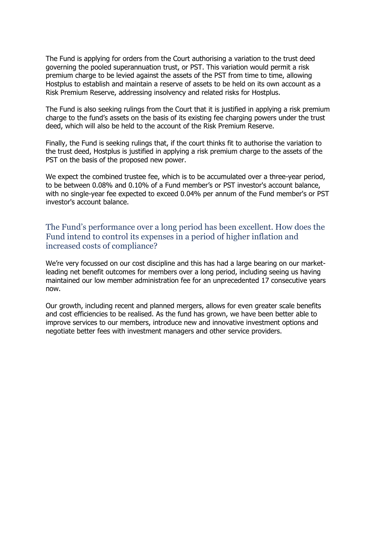The Fund is applying for orders from the Court authorising a variation to the trust deed governing the pooled superannuation trust, or PST. This variation would permit a risk premium charge to be levied against the assets of the PST from time to time, allowing Hostplus to establish and maintain a reserve of assets to be held on its own account as a Risk Premium Reserve, addressing insolvency and related risks for Hostplus.

The Fund is also seeking rulings from the Court that it is justified in applying a risk premium charge to the fund's assets on the basis of its existing fee charging powers under the trust deed, which will also be held to the account of the Risk Premium Reserve.

Finally, the Fund is seeking rulings that, if the court thinks fit to authorise the variation to the trust deed, Hostplus is justified in applying a risk premium charge to the assets of the PST on the basis of the proposed new power.

We expect the combined trustee fee, which is to be accumulated over a three-year period, to be between 0.08% and 0.10% of a Fund member's or PST investor's account balance, with no single-year fee expected to exceed 0.04% per annum of the Fund member's or PST investor's account balance.

### The Fund's performance over a long period has been excellent. How does the Fund intend to control its expenses in a period of higher inflation and increased costs of compliance?

We're very focussed on our cost discipline and this has had a large bearing on our marketleading net benefit outcomes for members over a long period, including seeing us having maintained our low member administration fee for an unprecedented 17 consecutive years now.

Our growth, including recent and planned mergers, allows for even greater scale benefits and cost efficiencies to be realised. As the fund has grown, we have been better able to improve services to our members, introduce new and innovative investment options and negotiate better fees with investment managers and other service providers.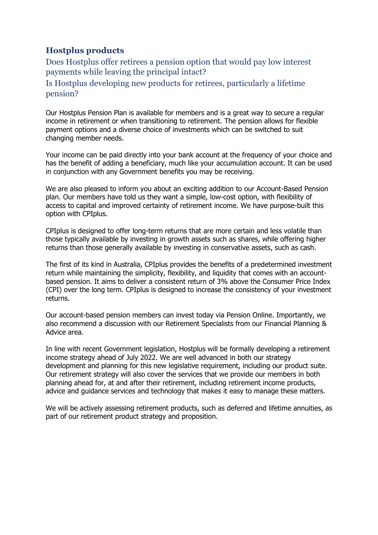# <span id="page-30-0"></span>**Hostplus products**

Does Hostplus offer retirees a pension option that would pay low interest payments while leaving the principal intact?

Is Hostplus developing new products for retirees, particularly a lifetime pension?

Our Hostplus Pension Plan is available for members and is a great way to secure a regular income in retirement or when transitioning to retirement. The pension allows for flexible payment options and a diverse choice of investments which can be switched to suit changing member needs.

Your income can be paid directly into your bank account at the frequency of your choice and has the benefit of adding a beneficiary, much like your accumulation account. It can be used in conjunction with any Government benefits you may be receiving.

We are also pleased to inform you about an exciting addition to our Account-Based Pension plan. Our members have told us they want a simple, low-cost option, with flexibility of access to capital and improved certainty of retirement income. We have purpose-built this option with CPIplus.

CPIplus is designed to offer long-term returns that are more certain and less volatile than those typically available by investing in growth assets such as shares, while offering higher returns than those generally available by investing in conservative assets, such as cash.

The first of its kind in Australia, CPIplus provides the benefits of a predetermined investment return while maintaining the simplicity, flexibility, and liquidity that comes with an accountbased pension. It aims to deliver a consistent return of 3% above the Consumer Price Index (CPI) over the long term. CPIplus is designed to increase the consistency of your investment returns.

Our account-based pension members can invest today via Pension Online. Importantly, we also recommend a discussion with our Retirement Specialists from our Financial Planning & Advice area.

In line with recent Government legislation, Hostplus will be formally developing a retirement income strategy ahead of July 2022. We are well advanced in both our strategy development and planning for this new legislative requirement, including our product suite. Our retirement strategy will also cover the services that we provide our members in both planning ahead for, at and after their retirement, including retirement income products, advice and guidance services and technology that makes it easy to manage these matters.

We will be actively assessing retirement products, such as deferred and lifetime annuities, as part of our retirement product strategy and proposition.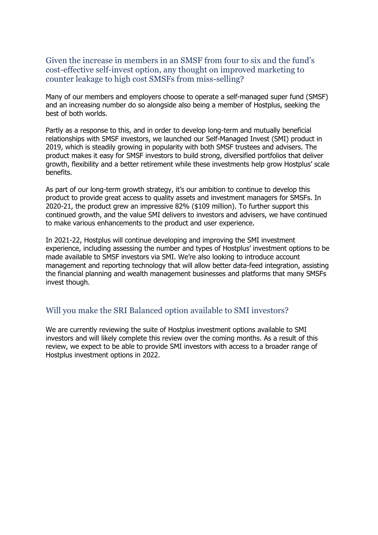Given the increase in members in an SMSF from four to six and the fund's cost-effective self-invest option, any thought on improved marketing to counter leakage to high cost SMSFs from miss-selling?

Many of our members and employers choose to operate a self-managed super fund (SMSF) and an increasing number do so alongside also being a member of Hostplus, seeking the best of both worlds.

Partly as a response to this, and in order to develop long-term and mutually beneficial relationships with SMSF investors, we launched our Self-Managed Invest (SMI) product in 2019, which is steadily growing in popularity with both SMSF trustees and advisers. The product makes it easy for SMSF investors to build strong, diversified portfolios that deliver growth, flexibility and a better retirement while these investments help grow Hostplus' scale benefits.

As part of our long-term growth strategy, it's our ambition to continue to develop this product to provide great access to quality assets and investment managers for SMSFs. In 2020-21, the product grew an impressive 82% (\$109 million). To further support this continued growth, and the value SMI delivers to investors and advisers, we have continued to make various enhancements to the product and user experience.

In 2021-22, Hostplus will continue developing and improving the SMI investment experience, including assessing the number and types of Hostplus' investment options to be made available to SMSF investors via SMI. We're also looking to introduce account management and reporting technology that will allow better data-feed integration, assisting the financial planning and wealth management businesses and platforms that many SMSFs invest though.

#### Will you make the SRI Balanced option available to SMI investors?

We are currently reviewing the suite of Hostplus investment options available to SMI investors and will likely complete this review over the coming months. As a result of this review, we expect to be able to provide SMI investors with access to a broader range of Hostplus investment options in 2022.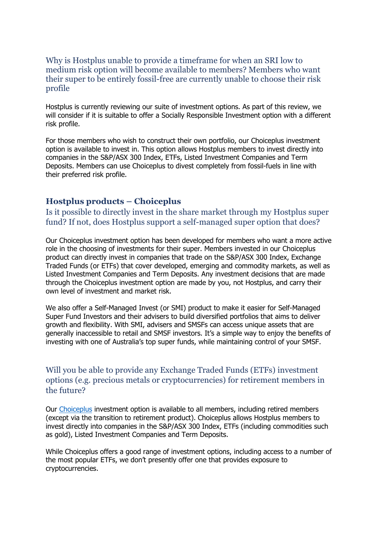#### Why is Hostplus unable to provide a timeframe for when an SRI low to medium risk option will become available to members? Members who want their super to be entirely fossil-free are currently unable to choose their risk profile

Hostplus is currently reviewing our suite of investment options. As part of this review, we will consider if it is suitable to offer a Socially Responsible Investment option with a different risk profile.

For those members who wish to construct their own portfolio, our Choiceplus investment option is available to invest in. This option allows Hostplus members to invest directly into companies in the S&P/ASX 300 Index, ETFs, Listed Investment Companies and Term Deposits. Members can use Choiceplus to divest completely from fossil-fuels in line with their preferred risk profile.

#### <span id="page-32-0"></span>**Hostplus products – Choiceplus**

Is it possible to directly invest in the share market through my Hostplus super fund? If not, does Hostplus support a self-managed super option that does?

Our Choiceplus investment option has been developed for members who want a more active role in the choosing of investments for their super. Members invested in our Choiceplus product can directly invest in companies that trade on the S&P/ASX 300 Index, Exchange Traded Funds (or ETFs) that cover developed, emerging and commodity markets, as well as Listed Investment Companies and Term Deposits. Any investment decisions that are made through the Choiceplus investment option are made by you, not Hostplus, and carry their own level of investment and market risk.

We also offer a Self-Managed Invest (or SMI) product to make it easier for Self-Managed Super Fund Investors and their advisers to build diversified portfolios that aims to deliver growth and flexibility. With SMI, advisers and SMSFs can access unique assets that are generally inaccessible to retail and SMSF investors. It's a simple way to enjoy the benefits of investing with one of Australia's top super funds, while maintaining control of your SMSF.

### Will you be able to provide any Exchange Traded Funds (ETFs) investment options (e.g. precious metals or cryptocurrencies) for retirement members in the future?

Our [Choiceplus](https://hostplus.com.au/investment/understanding-your-investments/your-investment-options) investment option is available to all members, including retired members (except via the transition to retirement product). Choiceplus allows Hostplus members to invest directly into companies in the S&P/ASX 300 Index, ETFs (including commodities such as gold), Listed Investment Companies and Term Deposits.

While Choiceplus offers a good range of investment options, including access to a number of the most popular ETFs, we don't presently offer one that provides exposure to cryptocurrencies.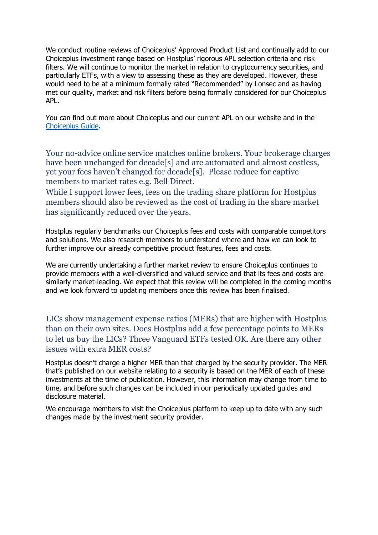We conduct routine reviews of Choiceplus' Approved Product List and continually add to our Choiceplus investment range based on Hostplus' rigorous APL selection criteria and risk filters. We will continue to monitor the market in relation to cryptocurrency securities, and particularly ETFs, with a view to assessing these as they are developed. However, these would need to be at a minimum formally rated "Recommended" by Lonsec and as having met our quality, market and risk filters before being formally considered for our Choiceplus APL.

You can find out more about Choiceplus and our current APL on our website and in the [Choiceplus Guide.](https://hostplus.com.au/content/dam/hostplus/files/documents/Choiceplus-Guide.pdf)

Your no-advice online service matches online brokers. Your brokerage charges have been unchanged for decade<sup>[s]</sup> and are automated and almost costless, yet your fees haven't changed for decade[s]. Please reduce for captive members to market rates e.g. Bell Direct.

While I support lower fees, fees on the trading share platform for Hostplus members should also be reviewed as the cost of trading in the share market has significantly reduced over the years.

Hostplus regularly benchmarks our Choiceplus fees and costs with comparable competitors and solutions. We also research members to understand where and how we can look to further improve our already competitive product features, fees and costs.

We are currently undertaking a further market review to ensure Choiceplus continues to provide members with a well-diversified and valued service and that its fees and costs are similarly market-leading. We expect that this review will be completed in the coming months and we look forward to updating members once this review has been finalised.

LICs show management expense ratios (MERs) that are higher with Hostplus than on their own sites. Does Hostplus add a few percentage points to MERs to let us buy the LICs? Three Vanguard ETFs tested OK. Are there any other issues with extra MER costs?

Hostplus doesn't charge a higher MER than that charged by the security provider. The MER that's published on our website relating to a security is based on the MER of each of these investments at the time of publication. However, this information may change from time to time, and before such changes can be included in our periodically updated guides and disclosure material.

We encourage members to visit the Choiceplus platform to keep up to date with any such changes made by the investment security provider.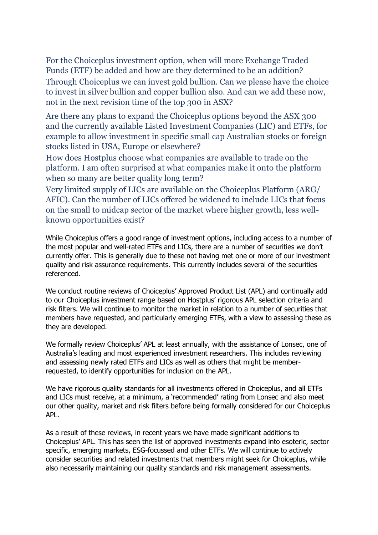For the Choiceplus investment option, when will more Exchange Traded Funds (ETF) be added and how are they determined to be an addition? Through Choiceplus we can invest gold bullion. Can we please have the choice to invest in silver bullion and copper bullion also. And can we add these now, not in the next revision time of the top 300 in ASX?

Are there any plans to expand the Choiceplus options beyond the ASX 300 and the currently available Listed Investment Companies (LIC) and ETFs, for example to allow investment in specific small cap Australian stocks or foreign stocks listed in USA, Europe or elsewhere?

How does Hostplus choose what companies are available to trade on the platform. I am often surprised at what companies make it onto the platform when so many are better quality long term?

Very limited supply of LICs are available on the Choiceplus Platform (ARG/ AFIC). Can the number of LICs offered be widened to include LICs that focus on the small to midcap sector of the market where higher growth, less wellknown opportunities exist?

While Choiceplus offers a good range of investment options, including access to a number of the most popular and well-rated ETFs and LICs, there are a number of securities we don't currently offer. This is generally due to these not having met one or more of our investment quality and risk assurance requirements. This currently includes several of the securities referenced.

We conduct routine reviews of Choiceplus' Approved Product List (APL) and continually add to our Choiceplus investment range based on Hostplus' rigorous APL selection criteria and risk filters. We will continue to monitor the market in relation to a number of securities that members have requested, and particularly emerging ETFs, with a view to assessing these as they are developed.

We formally review Choiceplus' APL at least annually, with the assistance of Lonsec, one of Australia's leading and most experienced investment researchers. This includes reviewing and assessing newly rated ETFs and LICs as well as others that might be memberrequested, to identify opportunities for inclusion on the APL.

We have rigorous quality standards for all investments offered in Choiceplus, and all ETFs and LICs must receive, at a minimum, a 'recommended' rating from Lonsec and also meet our other quality, market and risk filters before being formally considered for our Choiceplus APL.

<span id="page-34-0"></span>As a result of these reviews, in recent years we have made significant additions to Choiceplus' APL. This has seen the list of approved investments expand into esoteric, sector specific, emerging markets, ESG-focussed and other ETFs. We will continue to actively consider securities and related investments that members might seek for Choiceplus, while also necessarily maintaining our quality standards and risk management assessments.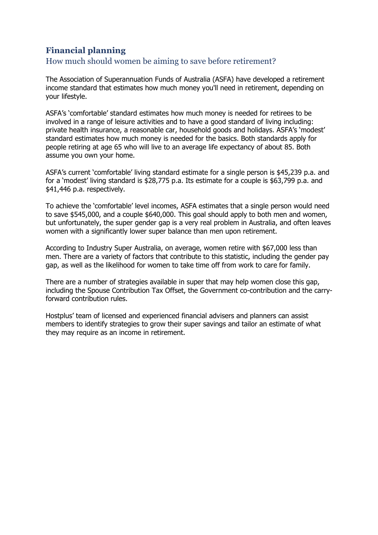# **Financial planning**

## How much should women be aiming to save before retirement?

The Association of Superannuation Funds of Australia (ASFA) have developed a retirement income standard that estimates how much money you'll need in retirement, depending on your lifestyle.

ASFA's 'comfortable' standard estimates how much money is needed for retirees to be involved in a range of leisure activities and to have a good standard of living including: private health insurance, a reasonable car, household goods and holidays. ASFA's 'modest' standard estimates how much money is needed for the basics. Both standards apply for people retiring at age 65 who will live to an average life expectancy of about 85. Both assume you own your home.

ASFA's current 'comfortable' living standard estimate for a single person is \$45,239 p.a. and for a 'modest' living standard is \$28,775 p.a. Its estimate for a couple is \$63,799 p.a. and \$41,446 p.a. respectively.

To achieve the 'comfortable' level incomes, ASFA estimates that a single person would need to save \$545,000, and a couple \$640,000. This goal should apply to both men and women, but unfortunately, the super gender gap is a very real problem in Australia, and often leaves women with a significantly lower super balance than men upon retirement.

According to Industry Super Australia, on average, women retire with \$67,000 less than men. There are a variety of factors that contribute to this statistic, including the gender pay gap, as well as the likelihood for women to take time off from work to care for family.

There are a number of strategies available in super that may help women close this gap, including the Spouse Contribution Tax Offset, the Government co-contribution and the carryforward contribution rules.

Hostplus' team of licensed and experienced financial advisers and planners can assist members to identify strategies to grow their super savings and tailor an estimate of what they may require as an income in retirement.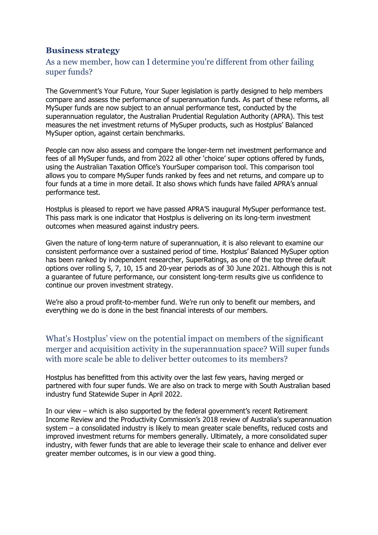### <span id="page-36-0"></span>**Business strategy**

### As a new member, how can I determine you're different from other failing super funds?

The Government's Your Future, Your Super legislation is partly designed to help members compare and assess the performance of superannuation funds. As part of these reforms, all MySuper funds are now subject to an annual performance test, conducted by the superannuation regulator, the Australian Prudential Regulation Authority (APRA). This test measures the net investment returns of MySuper products, such as Hostplus' Balanced MySuper option, against certain benchmarks.

People can now also assess and compare the longer-term net investment performance and fees of all MySuper funds, and from 2022 all other 'choice' super options offered by funds, using the Australian Taxation Office's YourSuper comparison tool. This comparison tool allows you to compare MySuper funds ranked by fees and net returns, and compare up to four funds at a time in more detail. It also shows which funds have failed APRA's annual performance test.

Hostplus is pleased to report we have passed APRA'S inaugural MySuper performance test. This pass mark is one indicator that Hostplus is delivering on its long-term investment outcomes when measured against industry peers.

Given the nature of long-term nature of superannuation, it is also relevant to examine our consistent performance over a sustained period of time. Hostplus' Balanced MySuper option has been ranked by independent researcher, SuperRatings, as one of the top three default options over rolling 5, 7, 10, 15 and 20-year periods as of 30 June 2021. Although this is not a guarantee of future performance, our consistent long-term results give us confidence to continue our proven investment strategy.

We're also a proud profit-to-member fund. We're run only to benefit our members, and everything we do is done in the best financial interests of our members.

# What's Hostplus' view on the potential impact on members of the significant merger and acquisition activity in the superannuation space? Will super funds with more scale be able to deliver better outcomes to its members?

Hostplus has benefitted from this activity over the last few years, having merged or partnered with four super funds. We are also on track to merge with South Australian based industry fund Statewide Super in April 2022.

In our view – which is also supported by the federal government's recent Retirement Income Review and the Productivity Commission's 2018 review of Australia's superannuation system – a consolidated industry is likely to mean greater scale benefits, reduced costs and improved investment returns for members generally. Ultimately, a more consolidated super industry, with fewer funds that are able to leverage their scale to enhance and deliver ever greater member outcomes, is in our view a good thing.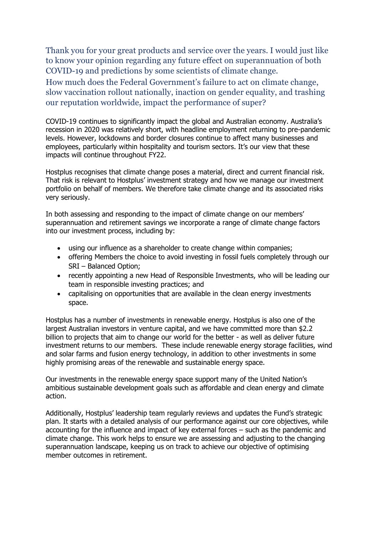Thank you for your great products and service over the years. I would just like to know your opinion regarding any future effect on superannuation of both COVID-19 and predictions by some scientists of climate change.

How much does the Federal Government's failure to act on climate change, slow vaccination rollout nationally, inaction on gender equality, and trashing our reputation worldwide, impact the performance of super?

COVID-19 continues to significantly impact the global and Australian economy. Australia's recession in 2020 was relatively short, with headline employment returning to pre-pandemic levels. However, lockdowns and border closures continue to affect many businesses and employees, particularly within hospitality and tourism sectors. It's our view that these impacts will continue throughout FY22.

Hostplus recognises that climate change poses a material, direct and current financial risk. That risk is relevant to Hostplus' investment strategy and how we manage our investment portfolio on behalf of members. We therefore take climate change and its associated risks very seriously.

In both assessing and responding to the impact of climate change on our members' superannuation and retirement savings we incorporate a range of climate change factors into our investment process, including by:

- using our influence as a shareholder to create change within companies;
- offering Members the choice to avoid investing in fossil fuels completely through our SRI – Balanced Option;
- recently appointing a new Head of Responsible Investments, who will be leading our team in responsible investing practices; and
- capitalising on opportunities that are available in the clean energy investments space.

Hostplus has a number of investments in renewable energy. Hostplus is also one of the largest Australian investors in venture capital, and we have committed more than \$2.2 billion to projects that aim to change our world for the better - as well as deliver future investment returns to our members. These include renewable energy storage facilities, wind and solar farms and fusion energy technology, in addition to other investments in some highly promising areas of the renewable and sustainable energy space.

Our investments in the renewable energy space support many of the United Nation's ambitious sustainable development goals such as affordable and clean energy and climate action.

Additionally, Hostplus' leadership team regularly reviews and updates the Fund's strategic plan. It starts with a detailed analysis of our performance against our core objectives, while accounting for the influence and impact of key external forces – such as the pandemic and climate change. This work helps to ensure we are assessing and adjusting to the changing superannuation landscape, keeping us on track to achieve our objective of optimising member outcomes in retirement.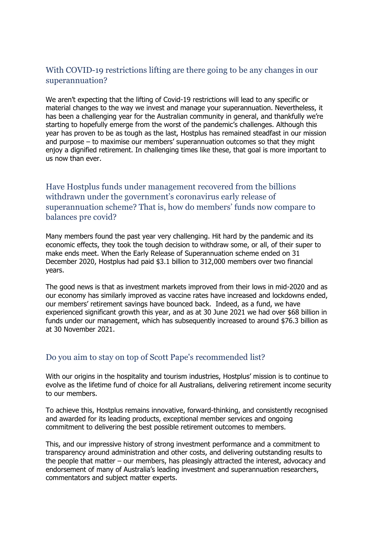### With COVID-19 restrictions lifting are there going to be any changes in our superannuation?

We aren't expecting that the lifting of Covid-19 restrictions will lead to any specific or material changes to the way we invest and manage your superannuation. Nevertheless, it has been a challenging year for the Australian community in general, and thankfully we're starting to hopefully emerge from the worst of the pandemic's challenges. Although this year has proven to be as tough as the last, Hostplus has remained steadfast in our mission and purpose – to maximise our members' superannuation outcomes so that they might enjoy a dignified retirement. In challenging times like these, that goal is more important to us now than ever.

# Have Hostplus funds under management recovered from the billions withdrawn under the government's coronavirus early release of superannuation scheme? That is, how do members' funds now compare to balances pre covid?

Many members found the past year very challenging. Hit hard by the pandemic and its economic effects, they took the tough decision to withdraw some, or all, of their super to make ends meet. When the Early Release of Superannuation scheme ended on 31 December 2020, Hostplus had paid \$3.1 billion to 312,000 members over two financial years.

The good news is that as investment markets improved from their lows in mid-2020 and as our economy has similarly improved as vaccine rates have increased and lockdowns ended, our members' retirement savings have bounced back. Indeed, as a fund, we have experienced significant growth this year, and as at 30 June 2021 we had over \$68 billion in funds under our management, which has subsequently increased to around \$76.3 billion as at 30 November 2021.

### Do you aim to stay on top of Scott Pape's recommended list?

With our origins in the hospitality and tourism industries, Hostplus' mission is to continue to evolve as the lifetime fund of choice for all Australians, delivering retirement income security to our members.

To achieve this, Hostplus remains innovative, forward-thinking, and consistently recognised and awarded for its leading products, exceptional member services and ongoing commitment to delivering the best possible retirement outcomes to members.

This, and our impressive history of strong investment performance and a commitment to transparency around administration and other costs, and delivering outstanding results to the people that matter – our members, has pleasingly attracted the interest, advocacy and endorsement of many of Australia's leading investment and superannuation researchers, commentators and subject matter experts.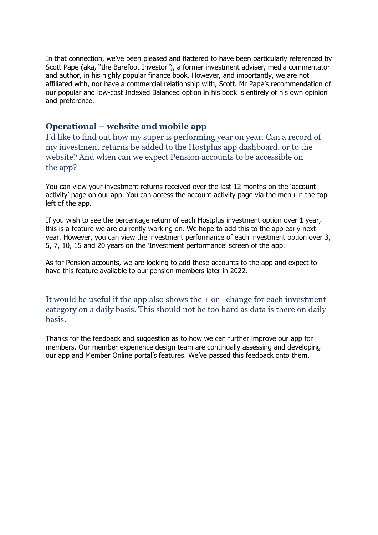In that connection, we've been pleased and flattered to have been particularly referenced by Scott Pape (aka, "the Barefoot Investor"), a former investment adviser, media commentator and author, in his highly popular finance book. However, and importantly, we are not affiliated with, nor have a commercial relationship with, Scott. Mr Pape's recommendation of our popular and low-cost Indexed Balanced option in his book is entirely of his own opinion and preference.

### <span id="page-39-0"></span>**Operational – website and mobile app**

I'd like to find out how my super is performing year on year. Can a record of my investment returns be added to the Hostplus app dashboard, or to the website? And when can we expect Pension accounts to be accessible on the app?

You can view your investment returns received over the last 12 months on the 'account activity' page on our app. You can access the account activity page via the menu in the top left of the app.

If you wish to see the percentage return of each Hostplus investment option over 1 year, this is a feature we are currently working on. We hope to add this to the app early next year. However, you can view the investment performance of each investment option over 3, 5, 7, 10, 15 and 20 years on the 'Investment performance' screen of the app.

As for Pension accounts, we are looking to add these accounts to the app and expect to have this feature available to our pension members later in 2022.

It would be useful if the app also shows the + or - change for each investment category on a daily basis. This should not be too hard as data is there on daily basis.

Thanks for the feedback and suggestion as to how we can further improve our app for members. Our member experience design team are continually assessing and developing our app and Member Online portal's features. We've passed this feedback onto them.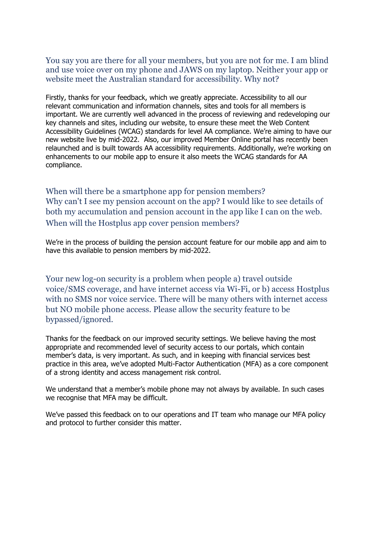You say you are there for all your members, but you are not for me. I am blind and use voice over on my phone and JAWS on my laptop. Neither your app or website meet the Australian standard for accessibility. Why not?

Firstly, thanks for your feedback, which we greatly appreciate. Accessibility to all our relevant communication and information channels, sites and tools for all members is important. We are currently well advanced in the process of reviewing and redeveloping our key channels and sites, including our website, to ensure these meet the Web Content Accessibility Guidelines (WCAG) standards for level AA compliance. We're aiming to have our new website live by mid-2022. Also, our improved Member Online portal has recently been relaunched and is built towards AA accessibility requirements. Additionally, we're working on enhancements to our mobile app to ensure it also meets the WCAG standards for AA compliance.

When will there be a smartphone app for pension members? Why can't I see my pension account on the app? I would like to see details of both my accumulation and pension account in the app like I can on the web. When will the Hostplus app cover pension members?

We're in the process of building the pension account feature for our mobile app and aim to have this available to pension members by mid-2022.

Your new log-on security is a problem when people a) travel outside voice/SMS coverage, and have internet access via Wi-Fi, or b) access Hostplus with no SMS nor voice service. There will be many others with internet access but NO mobile phone access. Please allow the security feature to be bypassed/ignored.

Thanks for the feedback on our improved security settings. We believe having the most appropriate and recommended level of security access to our portals, which contain member's data, is very important. As such, and in keeping with financial services best practice in this area, we've adopted Multi-Factor Authentication (MFA) as a core component of a strong identity and access management risk control.

We understand that a member's mobile phone may not always by available. In such cases we recognise that MFA may be difficult.

We've passed this feedback on to our operations and IT team who manage our MFA policy and protocol to further consider this matter.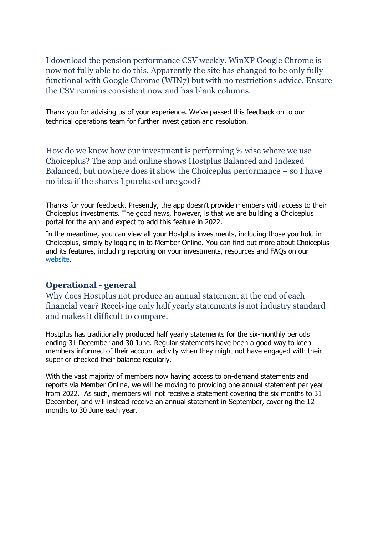I download the pension performance CSV weekly. WinXP Google Chrome is now not fully able to do this. Apparently the site has changed to be only fully functional with Google Chrome (WIN7) but with no restrictions advice. Ensure the CSV remains consistent now and has blank columns.

Thank you for advising us of your experience. We've passed this feedback on to our technical operations team for further investigation and resolution.

How do we know how our investment is performing % wise where we use Choiceplus? The app and online shows Hostplus Balanced and Indexed Balanced, but nowhere does it show the Choiceplus performance – so I have no idea if the shares I purchased are good?

Thanks for your feedback. Presently, the app doesn't provide members with access to their Choiceplus investments. The good news, however, is that we are building a Choiceplus portal for the app and expect to add this feature in 2022.

In the meantime, you can view all your Hostplus investments, including those you hold in Choiceplus, simply by logging in to Member Online. You can find out more about Choiceplus and its features, including reporting on your investments, resources and FAQs on our [website.](https://hostplus.com.au/investment/understanding-your-investments/your-investment-options/choiceplus-faq)

### <span id="page-41-0"></span>**Operational - general**

Why does Hostplus not produce an annual statement at the end of each financial year? Receiving only half yearly statements is not industry standard and makes it difficult to compare.

Hostplus has traditionally produced half yearly statements for the six-monthly periods ending 31 December and 30 June. Regular statements have been a good way to keep members informed of their account activity when they might not have engaged with their super or checked their balance regularly.

With the vast majority of members now having access to on-demand statements and reports via Member Online, we will be moving to providing one annual statement per year from 2022. As such, members will not receive a statement covering the six months to 31 December, and will instead receive an annual statement in September, covering the 12 months to 30 June each year.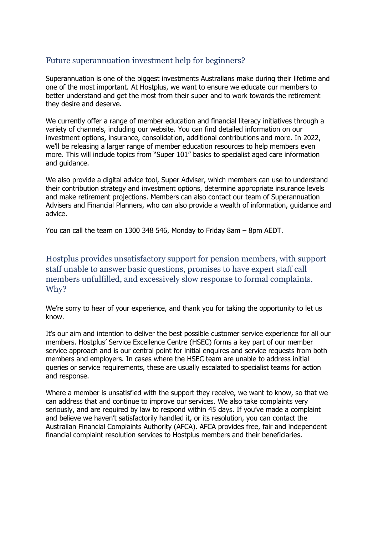# Future superannuation investment help for beginners?

Superannuation is one of the biggest investments Australians make during their lifetime and one of the most important. At Hostplus, we want to ensure we educate our members to better understand and get the most from their super and to work towards the retirement they desire and deserve.

We currently offer a range of member education and financial literacy initiatives through a variety of channels, including our website. You can find detailed information on our investment options, insurance, consolidation, additional contributions and more. In 2022, we'll be releasing a larger range of member education resources to help members even more. This will include topics from "Super 101" basics to specialist aged care information and guidance.

We also provide a digital advice tool, Super Adviser, which members can use to understand their contribution strategy and investment options, determine appropriate insurance levels and make retirement projections. Members can also contact our team of Superannuation Advisers and Financial Planners, who can also provide a wealth of information, guidance and advice.

You can call the team on 1300 348 546, Monday to Friday 8am – 8pm AEDT.

Hostplus provides unsatisfactory support for pension members, with support staff unable to answer basic questions, promises to have expert staff call members unfulfilled, and excessively slow response to formal complaints. Why?

We're sorry to hear of your experience, and thank you for taking the opportunity to let us know.

It's our aim and intention to deliver the best possible customer service experience for all our members. Hostplus' Service Excellence Centre (HSEC) forms a key part of our member service approach and is our central point for initial enquires and service requests from both members and employers. In cases where the HSEC team are unable to address initial queries or service requirements, these are usually escalated to specialist teams for action and response.

Where a member is unsatisfied with the support they receive, we want to know, so that we can address that and continue to improve our services. We also take complaints very seriously, and are required by law to respond within 45 days. If you've made a complaint and believe we haven't satisfactorily handled it, or its resolution, you can contact the Australian Financial Complaints Authority (AFCA). AFCA provides free, fair and independent financial complaint resolution services to Hostplus members and their beneficiaries.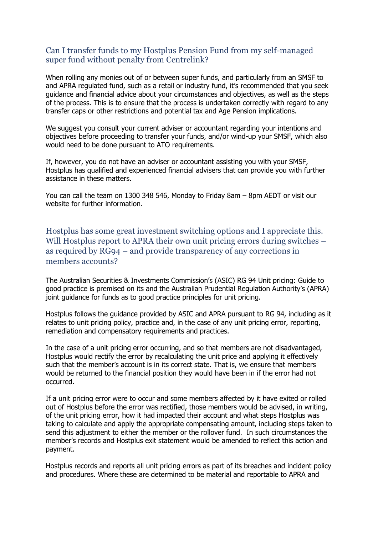### Can I transfer funds to my Hostplus Pension Fund from my self-managed super fund without penalty from Centrelink?

When rolling any monies out of or between super funds, and particularly from an SMSF to and APRA regulated fund, such as a retail or industry fund, it's recommended that you seek guidance and financial advice about your circumstances and objectives, as well as the steps of the process. This is to ensure that the process is undertaken correctly with regard to any transfer caps or other restrictions and potential tax and Age Pension implications.

We suggest you consult your current adviser or accountant regarding your intentions and objectives before proceeding to transfer your funds, and/or wind-up your SMSF, which also would need to be done pursuant to ATO requirements.

If, however, you do not have an adviser or accountant assisting you with your SMSF, Hostplus has qualified and experienced financial advisers that can provide you with further assistance in these matters.

You can call the team on 1300 348 546, Monday to Friday 8am – 8pm AEDT or visit our website for further information.

Hostplus has some great investment switching options and I appreciate this. Will Hostplus report to APRA their own unit pricing errors during switches – as required by RG94 – and provide transparency of any corrections in members accounts?

The Australian Securities & Investments Commission's (ASIC) RG 94 Unit pricing: Guide to good practice is premised on its and the Australian Prudential Regulation Authority's (APRA) joint guidance for funds as to good practice principles for unit pricing.

Hostplus follows the guidance provided by ASIC and APRA pursuant to RG 94, including as it relates to unit pricing policy, practice and, in the case of any unit pricing error, reporting, remediation and compensatory requirements and practices.

In the case of a unit pricing error occurring, and so that members are not disadvantaged, Hostplus would rectify the error by recalculating the unit price and applying it effectively such that the member's account is in its correct state. That is, we ensure that members would be returned to the financial position they would have been in if the error had not occurred.

If a unit pricing error were to occur and some members affected by it have exited or rolled out of Hostplus before the error was rectified, those members would be advised, in writing, of the unit pricing error, how it had impacted their account and what steps Hostplus was taking to calculate and apply the appropriate compensating amount, including steps taken to send this adjustment to either the member or the rollover fund. In such circumstances the member's records and Hostplus exit statement would be amended to reflect this action and payment.

Hostplus records and reports all unit pricing errors as part of its breaches and incident policy and procedures. Where these are determined to be material and reportable to APRA and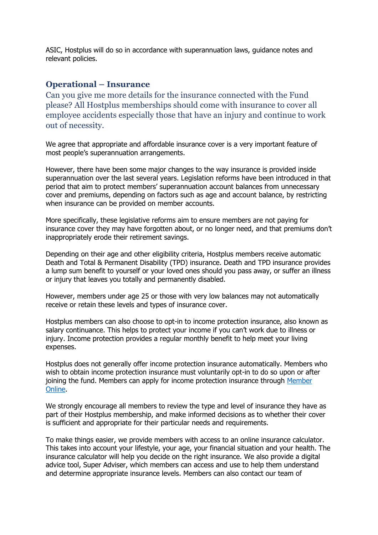ASIC, Hostplus will do so in accordance with superannuation laws, guidance notes and relevant policies.

#### <span id="page-44-0"></span>**Operational – Insurance**

Can you give me more details for the insurance connected with the Fund please? All Hostplus memberships should come with insurance to cover all employee accidents especially those that have an injury and continue to work out of necessity.

We agree that appropriate and affordable insurance cover is a very important feature of most people's superannuation arrangements.

However, there have been some major changes to the way insurance is provided inside superannuation over the last several years. Legislation reforms have been introduced in that period that aim to protect members' superannuation account balances from unnecessary cover and premiums, depending on factors such as age and account balance, by restricting when insurance can be provided on member accounts.

More specifically, these legislative reforms aim to ensure members are not paying for insurance cover they may have forgotten about, or no longer need, and that premiums don't inappropriately erode their retirement savings.

Depending on their age and other eligibility criteria, Hostplus members receive automatic Death and Total & Permanent Disability (TPD) insurance. Death and TPD insurance provides a lump sum benefit to yourself or your loved ones should you pass away, or suffer an illness or injury that leaves you totally and permanently disabled.

However, members under age 25 or those with very low balances may not automatically receive or retain these levels and types of insurance cover.

Hostplus members can also choose to opt-in to income protection insurance, also known as salary continuance. This helps to protect your income if you can't work due to illness or injury. Income protection provides a regular monthly benefit to help meet your living expenses.

Hostplus does not generally offer income protection insurance automatically. Members who wish to obtain income protection insurance must voluntarily opt-in to do so upon or after joining the fund. Members can apply for income protection insurance through Member [Online.](https://mol.hostplus.com.au/)

We strongly encourage all members to review the type and level of insurance they have as part of their Hostplus membership, and make informed decisions as to whether their cover is sufficient and appropriate for their particular needs and requirements.

To make things easier, we provide members with access to an online insurance calculator. This takes into account your lifestyle, your age, your financial situation and your health. The insurance calculator will help you decide on the right insurance. We also provide a digital advice tool, Super Adviser, which members can access and use to help them understand and determine appropriate insurance levels. Members can also contact our team of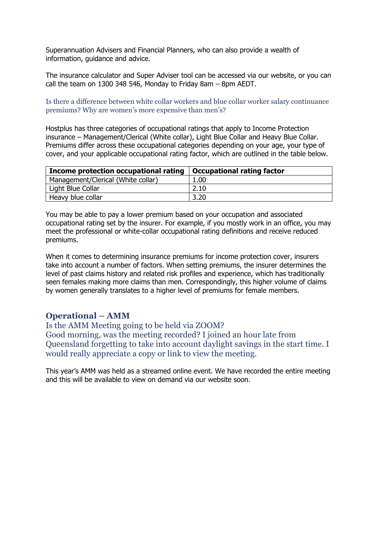Superannuation Advisers and Financial Planners, who can also provide a wealth of information, guidance and advice.

The insurance calculator and Super Adviser tool can be accessed via our website, or you can call the team on 1300 348 546, Monday to Friday 8am – 8pm AEDT.

Is there a difference between white collar workers and blue collar worker salary continuance premiums? Why are women's more expensive than men's?

Hostplus has three categories of occupational ratings that apply to Income Protection insurance – Management/Clerical (White collar), Light Blue Collar and Heavy Blue Collar. Premiums differ across these occupational categories depending on your age, your type of cover, and your applicable occupational rating factor, which are outlined in the table below.

| Income protection occupational rating $\vert$ Occupational rating factor |      |
|--------------------------------------------------------------------------|------|
| Management/Clerical (White collar)                                       | 1.00 |
| Light Blue Collar                                                        | 2.10 |
| Heavy blue collar                                                        | 3.20 |

You may be able to pay a lower premium based on your occupation and associated occupational rating set by the insurer. For example, if you mostly work in an office, you may meet the professional or white-collar occupational rating definitions and receive reduced premiums.

When it comes to determining insurance premiums for income protection cover, insurers take into account a number of factors. When setting premiums, the insurer determines the level of past claims history and related risk profiles and experience, which has traditionally seen females making more claims than men. Correspondingly, this higher volume of claims by women generally translates to a higher level of premiums for female members.

#### <span id="page-45-0"></span>**Operational – AMM**

Is the AMM Meeting going to be held via ZOOM? Good morning, was the meeting recorded? I joined an hour late from Queensland forgetting to take into account daylight savings in the start time. I would really appreciate a copy or link to view the meeting.

This year's AMM was held as a streamed online event. We have recorded the entire meeting and this will be available to view on demand via our website soon.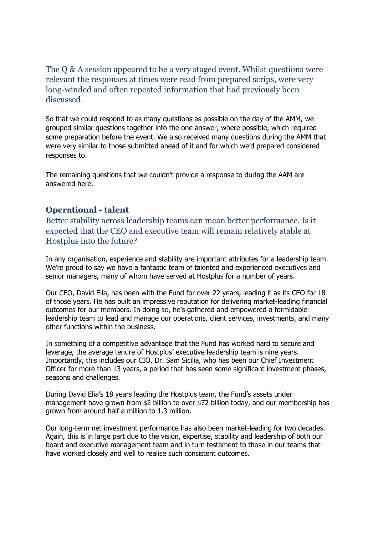The Q & A session appeared to be a very staged event. Whilst questions were relevant the responses at times were read from prepared scrips, were very long-winded and often repeated information that had previously been discussed.

So that we could respond to as many questions as possible on the day of the AMM, we grouped similar questions together into the one answer, where possible, which required some preparation before the event. We also received many questions during the AMM that were very similar to those submitted ahead of it and for which we'd prepared considered responses to.

The remaining questions that we couldn't provide a response to during the AAM are answered here.

### <span id="page-46-0"></span>**Operational - talent**

Better stability across leadership teams can mean better performance. Is it expected that the CEO and executive team will remain relatively stable at Hostplus into the future?

In any organisation, experience and stability are important attributes for a leadership team. We're proud to say we have a fantastic team of talented and experienced executives and senior managers, many of whom have served at Hostplus for a number of years.

Our CEO, David Elia, has been with the Fund for over 22 years, leading it as its CEO for 18 of those years. He has built an impressive reputation for delivering market-leading financial outcomes for our members. In doing so, he's gathered and empowered a formidable leadership team to lead and manage our operations, client services, investments, and many other functions within the business.

In something of a competitive advantage that the Fund has worked hard to secure and leverage, the average tenure of Hostplus' executive leadership team is nine years. Importantly, this includes our CIO, Dr. Sam Sicilia, who has been our Chief Investment Officer for more than 13 years, a period that has seen some significant investment phases, seasons and challenges.

During David Elia's 18 years leading the Hostplus team, the Fund's assets under management have grown from \$2 billion to over \$72 billion today, and our membership has grown from around half a million to 1.3 million.

Our long-term net investment performance has also been market-leading for two decades. Again, this is in large part due to the vision, expertise, stability and leadership of both our board and executive management team and in turn testament to those in our teams that have worked closely and well to realise such consistent outcomes.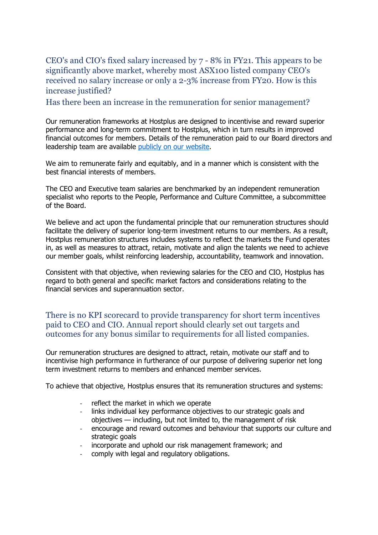CEO's and CIO's fixed salary increased by 7 - 8% in FY21. This appears to be significantly above market, whereby most ASX100 listed company CEO's received no salary increase or only a 2-3% increase from FY20. How is this increase justified?

Has there been an increase in the remuneration for senior management?

Our remuneration frameworks at Hostplus are designed to incentivise and reward superior performance and long-term commitment to Hostplus, which in turn results in improved financial outcomes for members. Details of the remuneration paid to our Board directors and leadership team are available [publicly on our website.](https://hostplus.com.au/super/about-us/remuneration-policy)

We aim to remunerate fairly and equitably, and in a manner which is consistent with the best financial interests of members.

The CEO and Executive team salaries are benchmarked by an independent remuneration specialist who reports to the People, Performance and Culture Committee, a subcommittee of the Board.

We believe and act upon the fundamental principle that our remuneration structures should facilitate the delivery of superior long-term investment returns to our members. As a result, Hostplus remuneration structures includes systems to reflect the markets the Fund operates in, as well as measures to attract, retain, motivate and align the talents we need to achieve our member goals, whilst reinforcing leadership, accountability, teamwork and innovation.

Consistent with that objective, when reviewing salaries for the CEO and CIO, Hostplus has regard to both general and specific market factors and considerations relating to the financial services and superannuation sector.

There is no KPI scorecard to provide transparency for short term incentives paid to CEO and CIO. Annual report should clearly set out targets and outcomes for any bonus similar to requirements for all listed companies.

Our remuneration structures are designed to attract, retain, motivate our staff and to incentivise high performance in furtherance of our purpose of delivering superior net long term investment returns to members and enhanced member services.

To achieve that objective, Hostplus ensures that its remuneration structures and systems:

- reflect the market in which we operate
- links individual key performance objectives to our strategic goals and objectives — including, but not limited to, the management of risk
- encourage and reward outcomes and behaviour that supports our culture and strategic goals
- incorporate and uphold our risk management framework; and
- comply with legal and regulatory obligations.